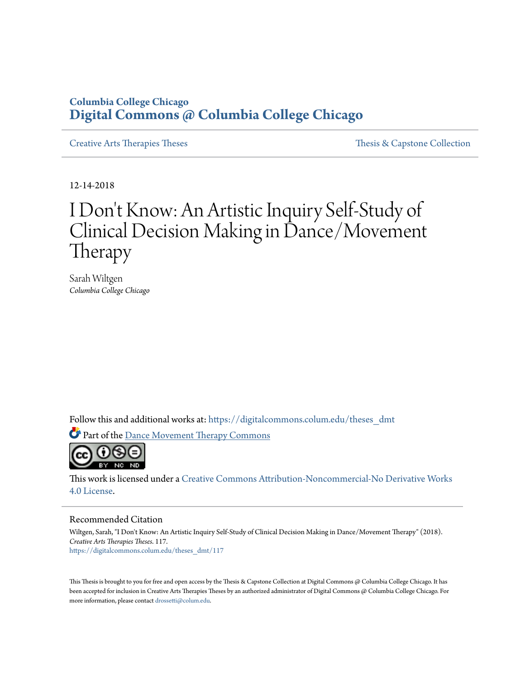# **Columbia College Chicago [Digital Commons @ Columbia College Chicago](https://digitalcommons.colum.edu?utm_source=digitalcommons.colum.edu%2Ftheses_dmt%2F117&utm_medium=PDF&utm_campaign=PDFCoverPages)**

[Creative Arts Therapies Theses](https://digitalcommons.colum.edu/theses_dmt?utm_source=digitalcommons.colum.edu%2Ftheses_dmt%2F117&utm_medium=PDF&utm_campaign=PDFCoverPages) [Thesis & Capstone Collection](https://digitalcommons.colum.edu/thesiscoll?utm_source=digitalcommons.colum.edu%2Ftheses_dmt%2F117&utm_medium=PDF&utm_campaign=PDFCoverPages)

12-14-2018

# I Don 't Know: An Artistic Inquiry Self-Study of Clinical Decision Making in Dance/Movement Therapy

Sarah Wiltgen *Columbia College Chicago*

Follow this and additional works at: [https://digitalcommons.colum.edu/theses\\_dmt](https://digitalcommons.colum.edu/theses_dmt?utm_source=digitalcommons.colum.edu%2Ftheses_dmt%2F117&utm_medium=PDF&utm_campaign=PDFCoverPages)

Part of the [Dance Movement Therapy Commons](http://network.bepress.com/hgg/discipline/1150?utm_source=digitalcommons.colum.edu%2Ftheses_dmt%2F117&utm_medium=PDF&utm_campaign=PDFCoverPages)



This work is licensed under a [Creative Commons Attribution-Noncommercial-No Derivative Works](http://creativecommons.org/licenses/by-nc-nd/4.0/) [4.0 License.](http://creativecommons.org/licenses/by-nc-nd/4.0/)

#### Recommended Citation

Wiltgen, Sarah, "I Don't Know: An Artistic Inquiry Self-Study of Clinical Decision Making in Dance/Movement Therapy" (2018). *Creative Arts Therapies Theses*. 117. [https://digitalcommons.colum.edu/theses\\_dmt/117](https://digitalcommons.colum.edu/theses_dmt/117?utm_source=digitalcommons.colum.edu%2Ftheses_dmt%2F117&utm_medium=PDF&utm_campaign=PDFCoverPages)

This Thesis is brought to you for free and open access by the Thesis & Capstone Collection at Digital Commons @ Columbia College Chicago. It has been accepted for inclusion in Creative Arts Therapies Theses by an authorized administrator of Digital Commons @ Columbia College Chicago. For more information, please contact [drossetti@colum.edu.](mailto:drossetti@colum.edu)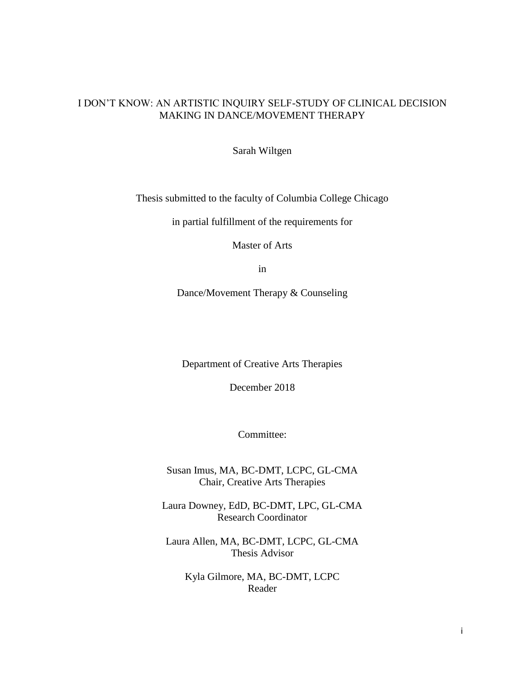# I DON'T KNOW: AN ARTISTIC INQUIRY SELF-STUDY OF CLINICAL DECISION MAKING IN DANCE/MOVEMENT THERAPY

Sarah Wiltgen

Thesis submitted to the faculty of Columbia College Chicago

in partial fulfillment of the requirements for

Master of Arts

in

Dance/Movement Therapy & Counseling

Department of Creative Arts Therapies

December 2018

Committee:

Susan Imus, MA, BC-DMT, LCPC, GL-CMA Chair, Creative Arts Therapies

Laura Downey, EdD, BC-DMT, LPC, GL-CMA Research Coordinator

Laura Allen, MA, BC-DMT, LCPC, GL-CMA Thesis Advisor

Kyla Gilmore, MA, BC-DMT, LCPC Reader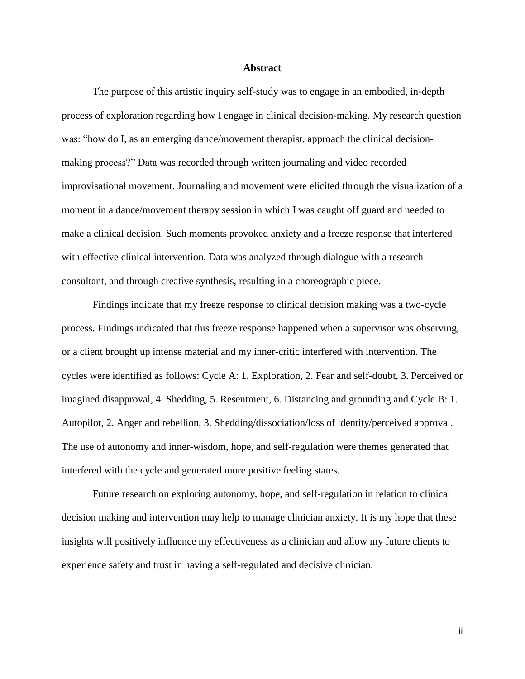## **Abstract**

The purpose of this artistic inquiry self-study was to engage in an embodied, in-depth process of exploration regarding how I engage in clinical decision-making. My research question was: "how do I, as an emerging dance/movement therapist, approach the clinical decisionmaking process?" Data was recorded through written journaling and video recorded improvisational movement. Journaling and movement were elicited through the visualization of a moment in a dance/movement therapy session in which I was caught off guard and needed to make a clinical decision. Such moments provoked anxiety and a freeze response that interfered with effective clinical intervention. Data was analyzed through dialogue with a research consultant, and through creative synthesis, resulting in a choreographic piece.

Findings indicate that my freeze response to clinical decision making was a two-cycle process. Findings indicated that this freeze response happened when a supervisor was observing, or a client brought up intense material and my inner-critic interfered with intervention. The cycles were identified as follows: Cycle A: 1. Exploration, 2. Fear and self-doubt, 3. Perceived or imagined disapproval, 4. Shedding, 5. Resentment, 6. Distancing and grounding and Cycle B: 1. Autopilot, 2. Anger and rebellion, 3. Shedding/dissociation/loss of identity/perceived approval. The use of autonomy and inner-wisdom, hope, and self-regulation were themes generated that interfered with the cycle and generated more positive feeling states.

Future research on exploring autonomy, hope, and self-regulation in relation to clinical decision making and intervention may help to manage clinician anxiety. It is my hope that these insights will positively influence my effectiveness as a clinician and allow my future clients to experience safety and trust in having a self-regulated and decisive clinician.

ii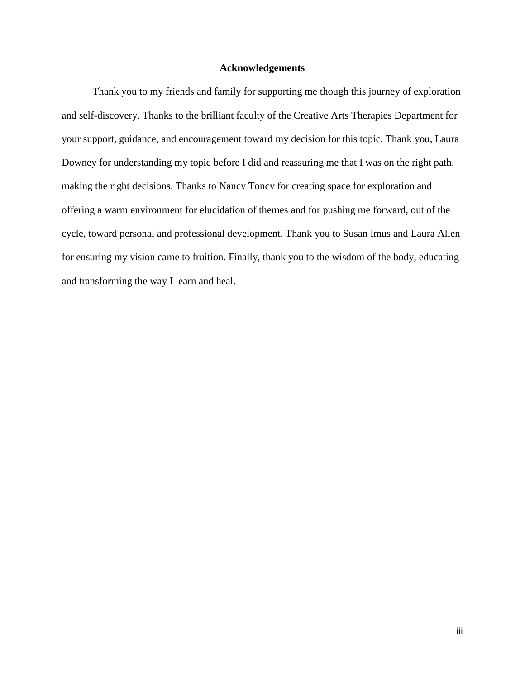# **Acknowledgements**

Thank you to my friends and family for supporting me though this journey of exploration and self-discovery. Thanks to the brilliant faculty of the Creative Arts Therapies Department for your support, guidance, and encouragement toward my decision for this topic. Thank you, Laura Downey for understanding my topic before I did and reassuring me that I was on the right path, making the right decisions. Thanks to Nancy Toncy for creating space for exploration and offering a warm environment for elucidation of themes and for pushing me forward, out of the cycle, toward personal and professional development. Thank you to Susan Imus and Laura Allen for ensuring my vision came to fruition. Finally, thank you to the wisdom of the body, educating and transforming the way I learn and heal.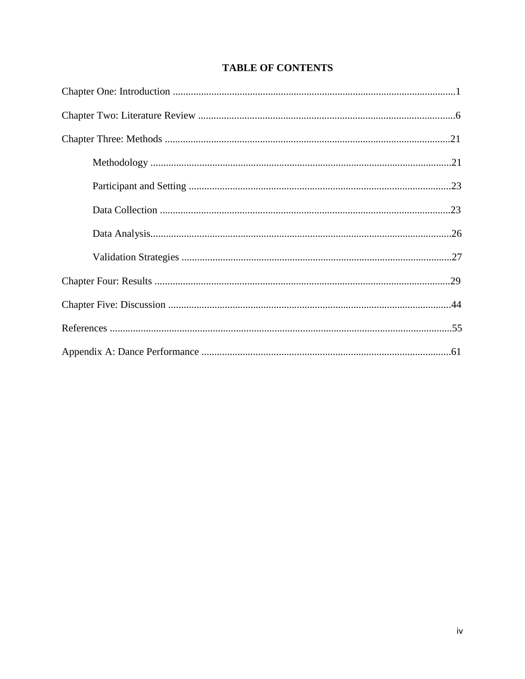# **TABLE OF CONTENTS**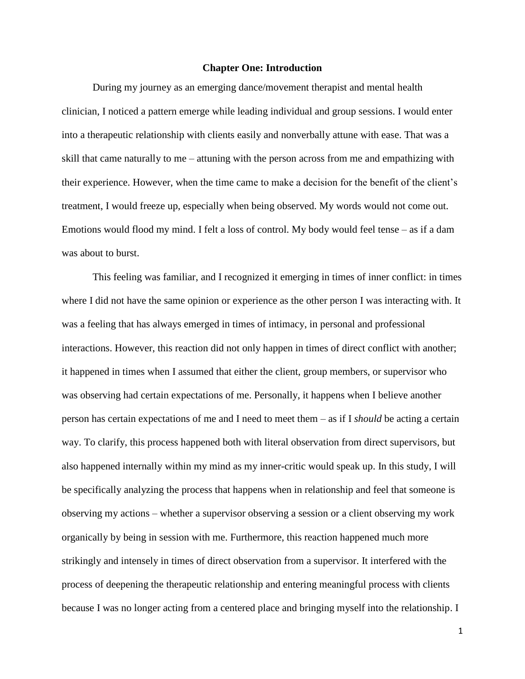# **Chapter One: Introduction**

During my journey as an emerging dance/movement therapist and mental health clinician, I noticed a pattern emerge while leading individual and group sessions. I would enter into a therapeutic relationship with clients easily and nonverbally attune with ease. That was a skill that came naturally to me – attuning with the person across from me and empathizing with their experience. However, when the time came to make a decision for the benefit of the client's treatment, I would freeze up, especially when being observed. My words would not come out. Emotions would flood my mind. I felt a loss of control. My body would feel tense – as if a dam was about to burst.

This feeling was familiar, and I recognized it emerging in times of inner conflict: in times where I did not have the same opinion or experience as the other person I was interacting with. It was a feeling that has always emerged in times of intimacy, in personal and professional interactions. However, this reaction did not only happen in times of direct conflict with another; it happened in times when I assumed that either the client, group members, or supervisor who was observing had certain expectations of me. Personally, it happens when I believe another person has certain expectations of me and I need to meet them – as if I *should* be acting a certain way. To clarify, this process happened both with literal observation from direct supervisors, but also happened internally within my mind as my inner-critic would speak up. In this study, I will be specifically analyzing the process that happens when in relationship and feel that someone is observing my actions – whether a supervisor observing a session or a client observing my work organically by being in session with me. Furthermore, this reaction happened much more strikingly and intensely in times of direct observation from a supervisor. It interfered with the process of deepening the therapeutic relationship and entering meaningful process with clients because I was no longer acting from a centered place and bringing myself into the relationship. I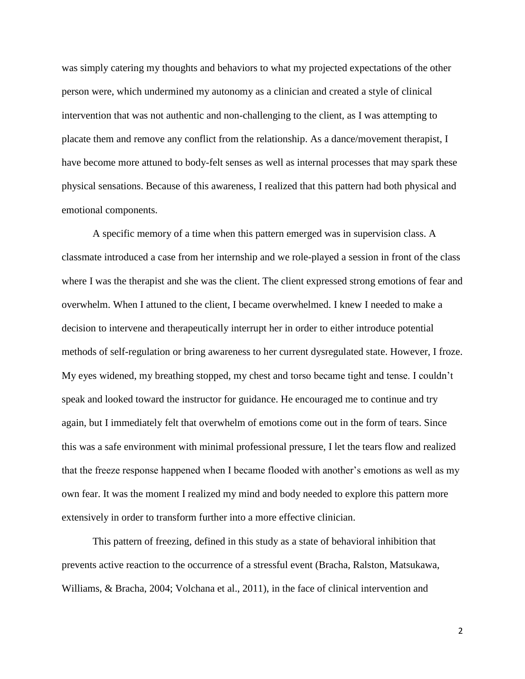was simply catering my thoughts and behaviors to what my projected expectations of the other person were, which undermined my autonomy as a clinician and created a style of clinical intervention that was not authentic and non-challenging to the client, as I was attempting to placate them and remove any conflict from the relationship. As a dance/movement therapist, I have become more attuned to body-felt senses as well as internal processes that may spark these physical sensations. Because of this awareness, I realized that this pattern had both physical and emotional components.

A specific memory of a time when this pattern emerged was in supervision class. A classmate introduced a case from her internship and we role-played a session in front of the class where I was the therapist and she was the client. The client expressed strong emotions of fear and overwhelm. When I attuned to the client, I became overwhelmed. I knew I needed to make a decision to intervene and therapeutically interrupt her in order to either introduce potential methods of self-regulation or bring awareness to her current dysregulated state. However, I froze. My eyes widened, my breathing stopped, my chest and torso became tight and tense. I couldn't speak and looked toward the instructor for guidance. He encouraged me to continue and try again, but I immediately felt that overwhelm of emotions come out in the form of tears. Since this was a safe environment with minimal professional pressure, I let the tears flow and realized that the freeze response happened when I became flooded with another's emotions as well as my own fear. It was the moment I realized my mind and body needed to explore this pattern more extensively in order to transform further into a more effective clinician.

This pattern of freezing, defined in this study as a state of behavioral inhibition that prevents active reaction to the occurrence of a stressful event (Bracha, Ralston, Matsukawa, Williams, & Bracha, 2004; Volchana et al., 2011), in the face of clinical intervention and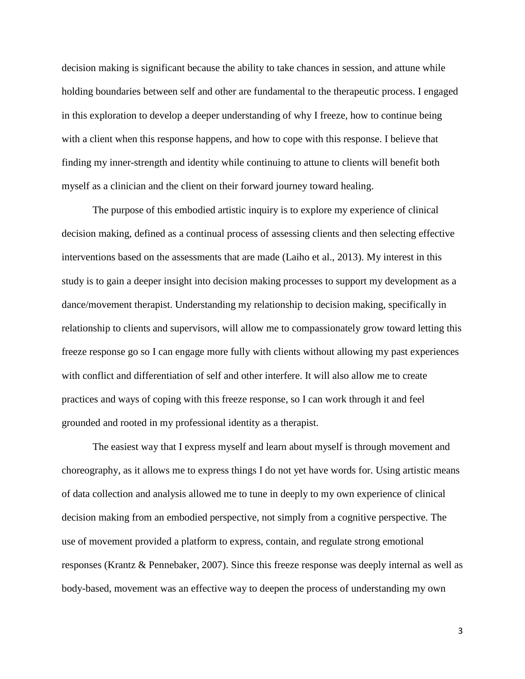decision making is significant because the ability to take chances in session, and attune while holding boundaries between self and other are fundamental to the therapeutic process. I engaged in this exploration to develop a deeper understanding of why I freeze, how to continue being with a client when this response happens, and how to cope with this response. I believe that finding my inner-strength and identity while continuing to attune to clients will benefit both myself as a clinician and the client on their forward journey toward healing.

The purpose of this embodied artistic inquiry is to explore my experience of clinical decision making, defined as a continual process of assessing clients and then selecting effective interventions based on the assessments that are made (Laiho et al., 2013). My interest in this study is to gain a deeper insight into decision making processes to support my development as a dance/movement therapist. Understanding my relationship to decision making, specifically in relationship to clients and supervisors, will allow me to compassionately grow toward letting this freeze response go so I can engage more fully with clients without allowing my past experiences with conflict and differentiation of self and other interfere. It will also allow me to create practices and ways of coping with this freeze response, so I can work through it and feel grounded and rooted in my professional identity as a therapist.

The easiest way that I express myself and learn about myself is through movement and choreography, as it allows me to express things I do not yet have words for. Using artistic means of data collection and analysis allowed me to tune in deeply to my own experience of clinical decision making from an embodied perspective, not simply from a cognitive perspective. The use of movement provided a platform to express, contain, and regulate strong emotional responses (Krantz & Pennebaker, 2007). Since this freeze response was deeply internal as well as body-based, movement was an effective way to deepen the process of understanding my own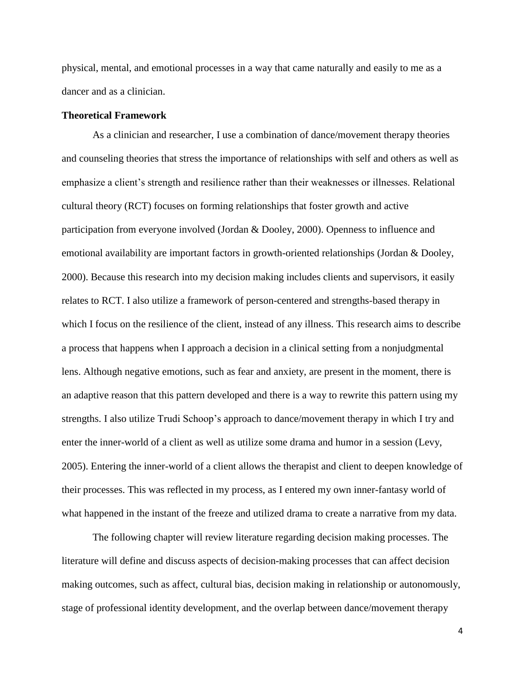physical, mental, and emotional processes in a way that came naturally and easily to me as a dancer and as a clinician.

# **Theoretical Framework**

As a clinician and researcher, I use a combination of dance/movement therapy theories and counseling theories that stress the importance of relationships with self and others as well as emphasize a client's strength and resilience rather than their weaknesses or illnesses. Relational cultural theory (RCT) focuses on forming relationships that foster growth and active participation from everyone involved (Jordan & Dooley, 2000). Openness to influence and emotional availability are important factors in growth-oriented relationships (Jordan & Dooley, 2000). Because this research into my decision making includes clients and supervisors, it easily relates to RCT. I also utilize a framework of person-centered and strengths-based therapy in which I focus on the resilience of the client, instead of any illness. This research aims to describe a process that happens when I approach a decision in a clinical setting from a nonjudgmental lens. Although negative emotions, such as fear and anxiety, are present in the moment, there is an adaptive reason that this pattern developed and there is a way to rewrite this pattern using my strengths. I also utilize Trudi Schoop's approach to dance/movement therapy in which I try and enter the inner-world of a client as well as utilize some drama and humor in a session (Levy, 2005). Entering the inner-world of a client allows the therapist and client to deepen knowledge of their processes. This was reflected in my process, as I entered my own inner-fantasy world of what happened in the instant of the freeze and utilized drama to create a narrative from my data.

The following chapter will review literature regarding decision making processes. The literature will define and discuss aspects of decision-making processes that can affect decision making outcomes, such as affect, cultural bias, decision making in relationship or autonomously, stage of professional identity development, and the overlap between dance/movement therapy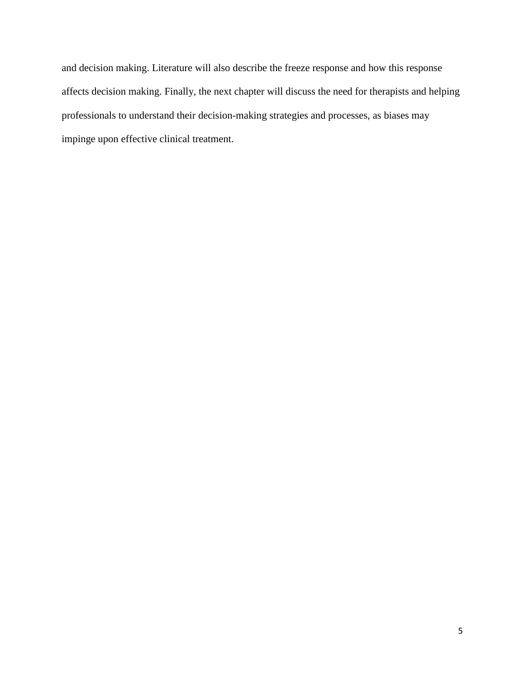and decision making. Literature will also describe the freeze response and how this response affects decision making. Finally, the next chapter will discuss the need for therapists and helping professionals to understand their decision-making strategies and processes, as biases may impinge upon effective clinical treatment.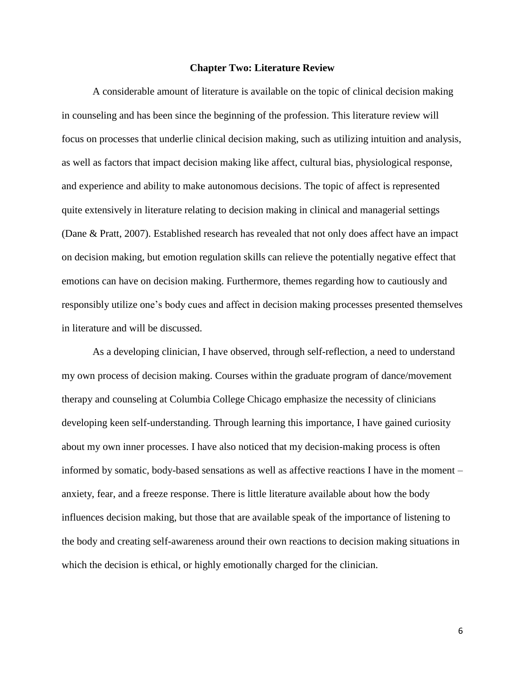#### **Chapter Two: Literature Review**

A considerable amount of literature is available on the topic of clinical decision making in counseling and has been since the beginning of the profession. This literature review will focus on processes that underlie clinical decision making, such as utilizing intuition and analysis, as well as factors that impact decision making like affect, cultural bias, physiological response, and experience and ability to make autonomous decisions. The topic of affect is represented quite extensively in literature relating to decision making in clinical and managerial settings (Dane & Pratt, 2007). Established research has revealed that not only does affect have an impact on decision making, but emotion regulation skills can relieve the potentially negative effect that emotions can have on decision making. Furthermore, themes regarding how to cautiously and responsibly utilize one's body cues and affect in decision making processes presented themselves in literature and will be discussed.

As a developing clinician, I have observed, through self-reflection, a need to understand my own process of decision making. Courses within the graduate program of dance/movement therapy and counseling at Columbia College Chicago emphasize the necessity of clinicians developing keen self-understanding. Through learning this importance, I have gained curiosity about my own inner processes. I have also noticed that my decision-making process is often informed by somatic, body-based sensations as well as affective reactions I have in the moment – anxiety, fear, and a freeze response. There is little literature available about how the body influences decision making, but those that are available speak of the importance of listening to the body and creating self-awareness around their own reactions to decision making situations in which the decision is ethical, or highly emotionally charged for the clinician.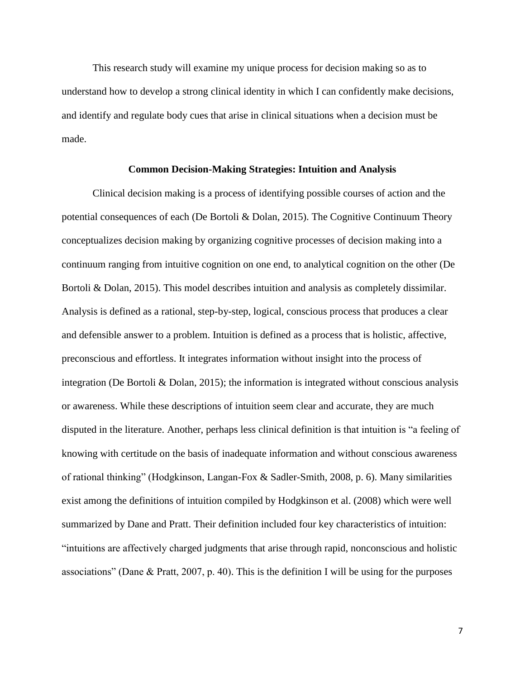This research study will examine my unique process for decision making so as to understand how to develop a strong clinical identity in which I can confidently make decisions, and identify and regulate body cues that arise in clinical situations when a decision must be made.

# **Common Decision-Making Strategies: Intuition and Analysis**

Clinical decision making is a process of identifying possible courses of action and the potential consequences of each (De Bortoli & Dolan, 2015). The Cognitive Continuum Theory conceptualizes decision making by organizing cognitive processes of decision making into a continuum ranging from intuitive cognition on one end, to analytical cognition on the other (De Bortoli & Dolan, 2015). This model describes intuition and analysis as completely dissimilar. Analysis is defined as a rational, step-by-step, logical, conscious process that produces a clear and defensible answer to a problem. Intuition is defined as a process that is holistic, affective, preconscious and effortless. It integrates information without insight into the process of integration (De Bortoli & Dolan, 2015); the information is integrated without conscious analysis or awareness. While these descriptions of intuition seem clear and accurate, they are much disputed in the literature. Another, perhaps less clinical definition is that intuition is "a feeling of knowing with certitude on the basis of inadequate information and without conscious awareness of rational thinking" (Hodgkinson, Langan-Fox & Sadler-Smith, 2008, p. 6). Many similarities exist among the definitions of intuition compiled by Hodgkinson et al. (2008) which were well summarized by Dane and Pratt. Their definition included four key characteristics of intuition: "intuitions are affectively charged judgments that arise through rapid, nonconscious and holistic associations" (Dane & Pratt, 2007, p. 40). This is the definition I will be using for the purposes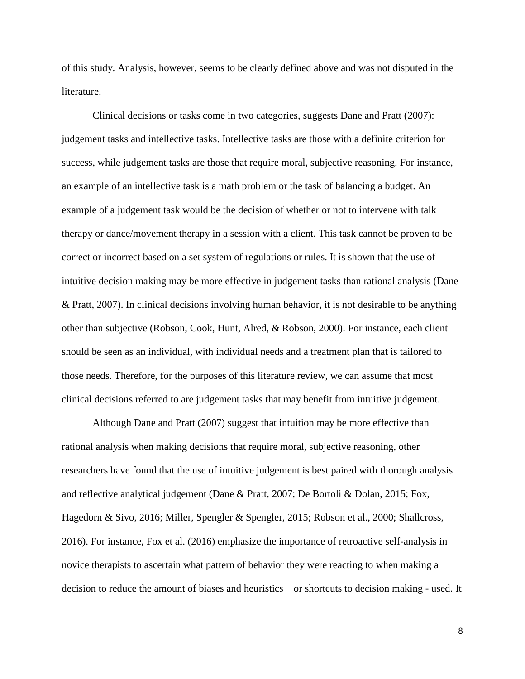of this study. Analysis, however, seems to be clearly defined above and was not disputed in the literature.

Clinical decisions or tasks come in two categories, suggests Dane and Pratt (2007): judgement tasks and intellective tasks. Intellective tasks are those with a definite criterion for success, while judgement tasks are those that require moral, subjective reasoning. For instance, an example of an intellective task is a math problem or the task of balancing a budget. An example of a judgement task would be the decision of whether or not to intervene with talk therapy or dance/movement therapy in a session with a client. This task cannot be proven to be correct or incorrect based on a set system of regulations or rules. It is shown that the use of intuitive decision making may be more effective in judgement tasks than rational analysis (Dane & Pratt, 2007). In clinical decisions involving human behavior, it is not desirable to be anything other than subjective (Robson, Cook, Hunt, Alred, & Robson, 2000). For instance, each client should be seen as an individual, with individual needs and a treatment plan that is tailored to those needs. Therefore, for the purposes of this literature review, we can assume that most clinical decisions referred to are judgement tasks that may benefit from intuitive judgement.

Although Dane and Pratt (2007) suggest that intuition may be more effective than rational analysis when making decisions that require moral, subjective reasoning, other researchers have found that the use of intuitive judgement is best paired with thorough analysis and reflective analytical judgement (Dane & Pratt, 2007; De Bortoli & Dolan, 2015; Fox, Hagedorn & Sivo, 2016; Miller, Spengler & Spengler, 2015; Robson et al., 2000; Shallcross, 2016). For instance, Fox et al. (2016) emphasize the importance of retroactive self-analysis in novice therapists to ascertain what pattern of behavior they were reacting to when making a decision to reduce the amount of biases and heuristics – or shortcuts to decision making - used. It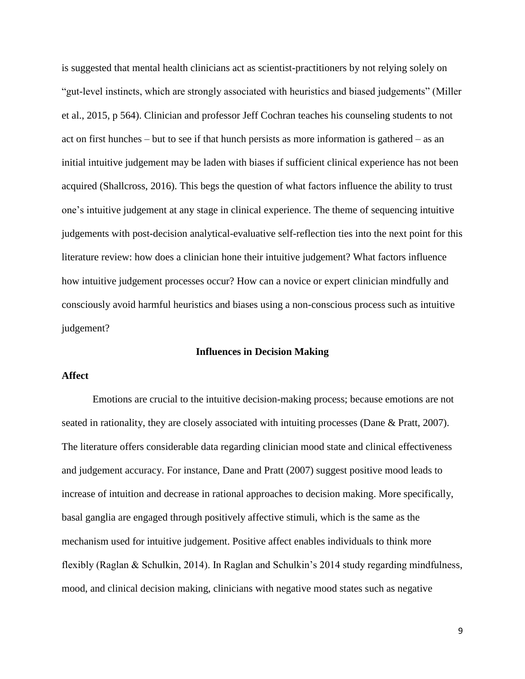is suggested that mental health clinicians act as scientist-practitioners by not relying solely on "gut-level instincts, which are strongly associated with heuristics and biased judgements" (Miller et al., 2015, p 564). Clinician and professor Jeff Cochran teaches his counseling students to not act on first hunches – but to see if that hunch persists as more information is gathered – as an initial intuitive judgement may be laden with biases if sufficient clinical experience has not been acquired (Shallcross, 2016). This begs the question of what factors influence the ability to trust one's intuitive judgement at any stage in clinical experience. The theme of sequencing intuitive judgements with post-decision analytical-evaluative self-reflection ties into the next point for this literature review: how does a clinician hone their intuitive judgement? What factors influence how intuitive judgement processes occur? How can a novice or expert clinician mindfully and consciously avoid harmful heuristics and biases using a non-conscious process such as intuitive judgement?

#### **Influences in Decision Making**

# **Affect**

Emotions are crucial to the intuitive decision-making process; because emotions are not seated in rationality, they are closely associated with intuiting processes (Dane & Pratt, 2007). The literature offers considerable data regarding clinician mood state and clinical effectiveness and judgement accuracy. For instance, Dane and Pratt (2007) suggest positive mood leads to increase of intuition and decrease in rational approaches to decision making. More specifically, basal ganglia are engaged through positively affective stimuli, which is the same as the mechanism used for intuitive judgement. Positive affect enables individuals to think more flexibly (Raglan & Schulkin, 2014). In Raglan and Schulkin's 2014 study regarding mindfulness, mood, and clinical decision making, clinicians with negative mood states such as negative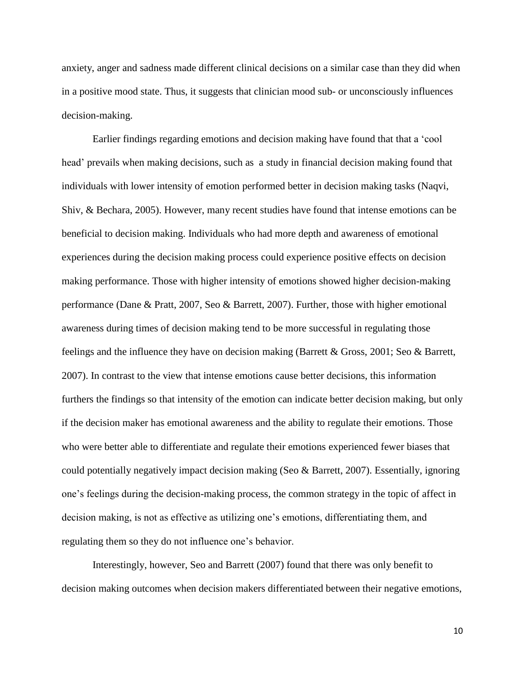anxiety, anger and sadness made different clinical decisions on a similar case than they did when in a positive mood state. Thus, it suggests that clinician mood sub- or unconsciously influences decision-making.

Earlier findings regarding emotions and decision making have found that that a 'cool head' prevails when making decisions, such as a study in financial decision making found that individuals with lower intensity of emotion performed better in decision making tasks (Naqvi, Shiv, & Bechara, 2005). However, many recent studies have found that intense emotions can be beneficial to decision making. Individuals who had more depth and awareness of emotional experiences during the decision making process could experience positive effects on decision making performance. Those with higher intensity of emotions showed higher decision-making performance (Dane & Pratt, 2007, Seo & Barrett, 2007). Further, those with higher emotional awareness during times of decision making tend to be more successful in regulating those feelings and the influence they have on decision making (Barrett & Gross, 2001; Seo & Barrett, 2007). In contrast to the view that intense emotions cause better decisions, this information furthers the findings so that intensity of the emotion can indicate better decision making, but only if the decision maker has emotional awareness and the ability to regulate their emotions. Those who were better able to differentiate and regulate their emotions experienced fewer biases that could potentially negatively impact decision making (Seo & Barrett, 2007). Essentially, ignoring one's feelings during the decision-making process, the common strategy in the topic of affect in decision making, is not as effective as utilizing one's emotions, differentiating them, and regulating them so they do not influence one's behavior.

Interestingly, however, Seo and Barrett (2007) found that there was only benefit to decision making outcomes when decision makers differentiated between their negative emotions,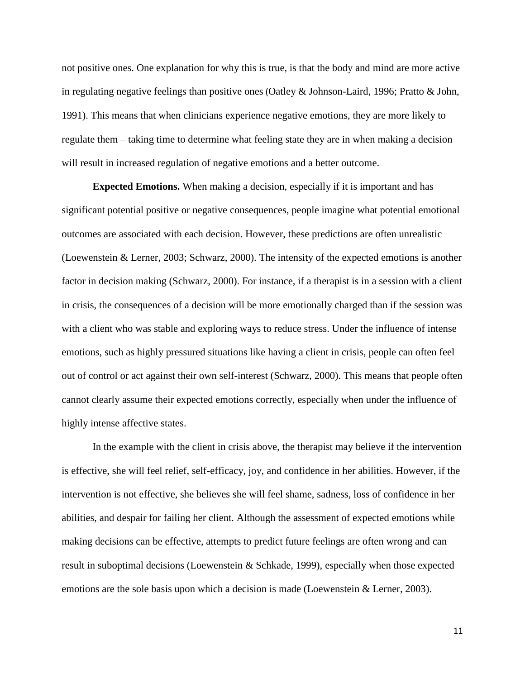not positive ones. One explanation for why this is true, is that the body and mind are more active in regulating negative feelings than positive ones (Oatley & Johnson-Laird, 1996; Pratto & John, 1991). This means that when clinicians experience negative emotions, they are more likely to regulate them – taking time to determine what feeling state they are in when making a decision will result in increased regulation of negative emotions and a better outcome.

**Expected Emotions.** When making a decision, especially if it is important and has significant potential positive or negative consequences, people imagine what potential emotional outcomes are associated with each decision. However, these predictions are often unrealistic (Loewenstein & Lerner, 2003; Schwarz, 2000). The intensity of the expected emotions is another factor in decision making (Schwarz, 2000). For instance, if a therapist is in a session with a client in crisis, the consequences of a decision will be more emotionally charged than if the session was with a client who was stable and exploring ways to reduce stress. Under the influence of intense emotions, such as highly pressured situations like having a client in crisis, people can often feel out of control or act against their own self-interest (Schwarz, 2000). This means that people often cannot clearly assume their expected emotions correctly, especially when under the influence of highly intense affective states.

In the example with the client in crisis above, the therapist may believe if the intervention is effective, she will feel relief, self-efficacy, joy, and confidence in her abilities. However, if the intervention is not effective, she believes she will feel shame, sadness, loss of confidence in her abilities, and despair for failing her client. Although the assessment of expected emotions while making decisions can be effective, attempts to predict future feelings are often wrong and can result in suboptimal decisions (Loewenstein & Schkade, 1999), especially when those expected emotions are the sole basis upon which a decision is made (Loewenstein & Lerner, 2003).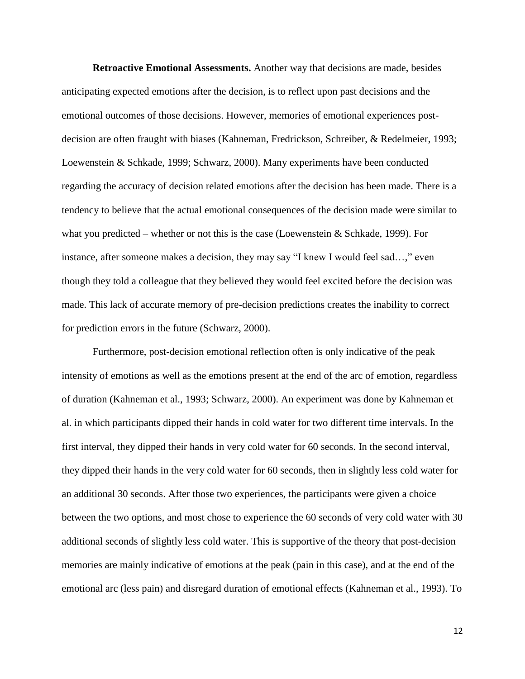**Retroactive Emotional Assessments.** Another way that decisions are made, besides anticipating expected emotions after the decision, is to reflect upon past decisions and the emotional outcomes of those decisions. However, memories of emotional experiences postdecision are often fraught with biases (Kahneman, Fredrickson, Schreiber, & Redelmeier, 1993; Loewenstein & Schkade, 1999; Schwarz, 2000). Many experiments have been conducted regarding the accuracy of decision related emotions after the decision has been made. There is a tendency to believe that the actual emotional consequences of the decision made were similar to what you predicted – whether or not this is the case (Loewenstein  $\&$  Schkade, 1999). For instance, after someone makes a decision, they may say "I knew I would feel sad…," even though they told a colleague that they believed they would feel excited before the decision was made. This lack of accurate memory of pre-decision predictions creates the inability to correct for prediction errors in the future (Schwarz, 2000).

Furthermore, post-decision emotional reflection often is only indicative of the peak intensity of emotions as well as the emotions present at the end of the arc of emotion, regardless of duration (Kahneman et al., 1993; Schwarz, 2000). An experiment was done by Kahneman et al. in which participants dipped their hands in cold water for two different time intervals. In the first interval, they dipped their hands in very cold water for 60 seconds. In the second interval, they dipped their hands in the very cold water for 60 seconds, then in slightly less cold water for an additional 30 seconds. After those two experiences, the participants were given a choice between the two options, and most chose to experience the 60 seconds of very cold water with 30 additional seconds of slightly less cold water. This is supportive of the theory that post-decision memories are mainly indicative of emotions at the peak (pain in this case), and at the end of the emotional arc (less pain) and disregard duration of emotional effects (Kahneman et al., 1993). To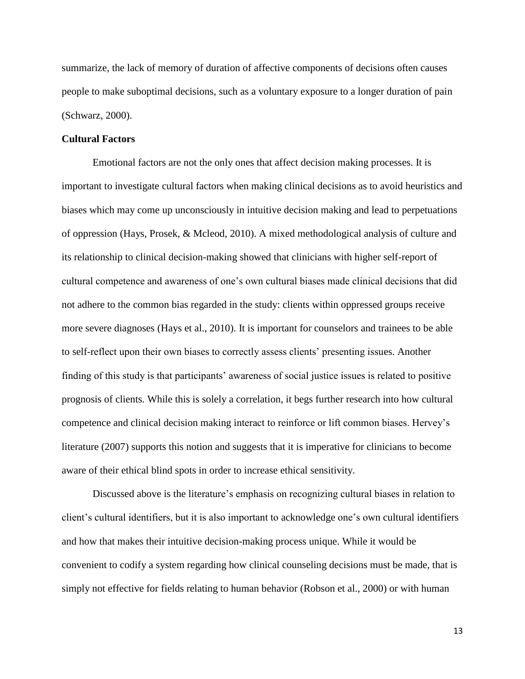summarize, the lack of memory of duration of affective components of decisions often causes people to make suboptimal decisions, such as a voluntary exposure to a longer duration of pain (Schwarz, 2000).

# **Cultural Factors**

Emotional factors are not the only ones that affect decision making processes. It is important to investigate cultural factors when making clinical decisions as to avoid heuristics and biases which may come up unconsciously in intuitive decision making and lead to perpetuations of oppression (Hays, Prosek, & Mcleod, 2010). A mixed methodological analysis of culture and its relationship to clinical decision-making showed that clinicians with higher self-report of cultural competence and awareness of one's own cultural biases made clinical decisions that did not adhere to the common bias regarded in the study: clients within oppressed groups receive more severe diagnoses (Hays et al., 2010). It is important for counselors and trainees to be able to self-reflect upon their own biases to correctly assess clients' presenting issues. Another finding of this study is that participants' awareness of social justice issues is related to positive prognosis of clients. While this is solely a correlation, it begs further research into how cultural competence and clinical decision making interact to reinforce or lift common biases. Hervey's literature (2007) supports this notion and suggests that it is imperative for clinicians to become aware of their ethical blind spots in order to increase ethical sensitivity.

Discussed above is the literature's emphasis on recognizing cultural biases in relation to client's cultural identifiers, but it is also important to acknowledge one's own cultural identifiers and how that makes their intuitive decision-making process unique. While it would be convenient to codify a system regarding how clinical counseling decisions must be made, that is simply not effective for fields relating to human behavior (Robson et al., 2000) or with human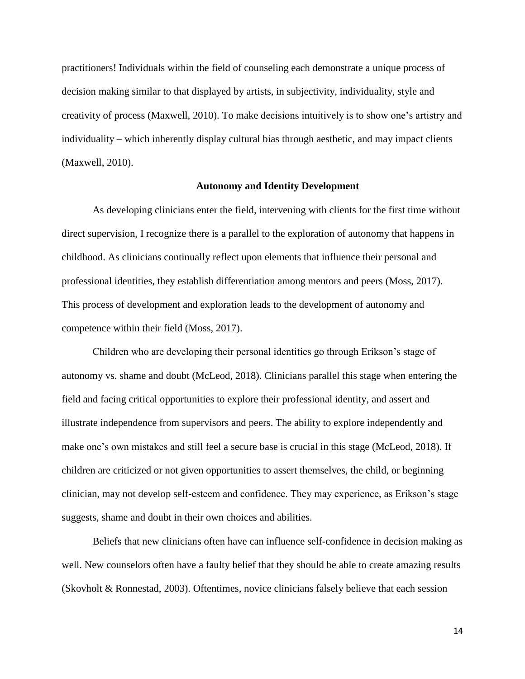practitioners! Individuals within the field of counseling each demonstrate a unique process of decision making similar to that displayed by artists, in subjectivity, individuality, style and creativity of process (Maxwell, 2010). To make decisions intuitively is to show one's artistry and individuality – which inherently display cultural bias through aesthetic, and may impact clients (Maxwell, 2010).

# **Autonomy and Identity Development**

As developing clinicians enter the field, intervening with clients for the first time without direct supervision, I recognize there is a parallel to the exploration of autonomy that happens in childhood. As clinicians continually reflect upon elements that influence their personal and professional identities, they establish differentiation among mentors and peers (Moss, 2017). This process of development and exploration leads to the development of autonomy and competence within their field (Moss, 2017).

Children who are developing their personal identities go through Erikson's stage of autonomy vs. shame and doubt (McLeod, 2018). Clinicians parallel this stage when entering the field and facing critical opportunities to explore their professional identity, and assert and illustrate independence from supervisors and peers. The ability to explore independently and make one's own mistakes and still feel a secure base is crucial in this stage (McLeod, 2018). If children are criticized or not given opportunities to assert themselves, the child, or beginning clinician, may not develop self-esteem and confidence. They may experience, as Erikson's stage suggests, shame and doubt in their own choices and abilities.

Beliefs that new clinicians often have can influence self-confidence in decision making as well. New counselors often have a faulty belief that they should be able to create amazing results (Skovholt & Ronnestad, 2003). Oftentimes, novice clinicians falsely believe that each session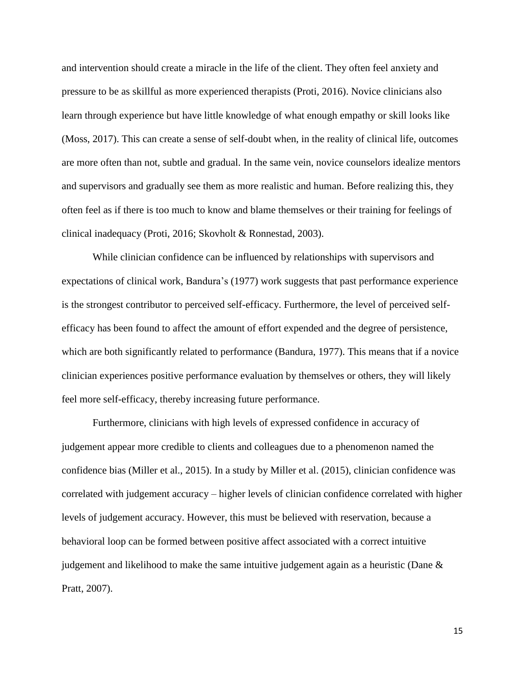and intervention should create a miracle in the life of the client. They often feel anxiety and pressure to be as skillful as more experienced therapists (Proti, 2016). Novice clinicians also learn through experience but have little knowledge of what enough empathy or skill looks like (Moss, 2017). This can create a sense of self-doubt when, in the reality of clinical life, outcomes are more often than not, subtle and gradual. In the same vein, novice counselors idealize mentors and supervisors and gradually see them as more realistic and human. Before realizing this, they often feel as if there is too much to know and blame themselves or their training for feelings of clinical inadequacy (Proti, 2016; Skovholt & Ronnestad, 2003).

While clinician confidence can be influenced by relationships with supervisors and expectations of clinical work, Bandura's (1977) work suggests that past performance experience is the strongest contributor to perceived self-efficacy. Furthermore, the level of perceived selfefficacy has been found to affect the amount of effort expended and the degree of persistence, which are both significantly related to performance (Bandura, 1977). This means that if a novice clinician experiences positive performance evaluation by themselves or others, they will likely feel more self-efficacy, thereby increasing future performance.

Furthermore, clinicians with high levels of expressed confidence in accuracy of judgement appear more credible to clients and colleagues due to a phenomenon named the confidence bias (Miller et al., 2015). In a study by Miller et al. (2015), clinician confidence was correlated with judgement accuracy – higher levels of clinician confidence correlated with higher levels of judgement accuracy. However, this must be believed with reservation, because a behavioral loop can be formed between positive affect associated with a correct intuitive judgement and likelihood to make the same intuitive judgement again as a heuristic (Dane & Pratt, 2007).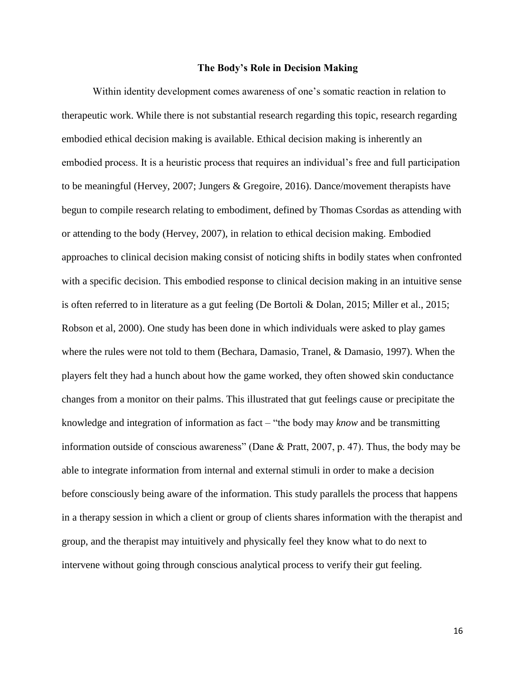#### **The Body's Role in Decision Making**

Within identity development comes awareness of one's somatic reaction in relation to therapeutic work. While there is not substantial research regarding this topic, research regarding embodied ethical decision making is available. Ethical decision making is inherently an embodied process. It is a heuristic process that requires an individual's free and full participation to be meaningful (Hervey, 2007; Jungers & Gregoire, 2016). Dance/movement therapists have begun to compile research relating to embodiment, defined by Thomas Csordas as attending with or attending to the body (Hervey, 2007), in relation to ethical decision making. Embodied approaches to clinical decision making consist of noticing shifts in bodily states when confronted with a specific decision. This embodied response to clinical decision making in an intuitive sense is often referred to in literature as a gut feeling (De Bortoli & Dolan, 2015; Miller et al., 2015; Robson et al, 2000). One study has been done in which individuals were asked to play games where the rules were not told to them (Bechara, Damasio, Tranel, & Damasio, 1997). When the players felt they had a hunch about how the game worked, they often showed skin conductance changes from a monitor on their palms. This illustrated that gut feelings cause or precipitate the knowledge and integration of information as fact – "the body may *know* and be transmitting information outside of conscious awareness" (Dane & Pratt, 2007, p. 47). Thus, the body may be able to integrate information from internal and external stimuli in order to make a decision before consciously being aware of the information. This study parallels the process that happens in a therapy session in which a client or group of clients shares information with the therapist and group, and the therapist may intuitively and physically feel they know what to do next to intervene without going through conscious analytical process to verify their gut feeling.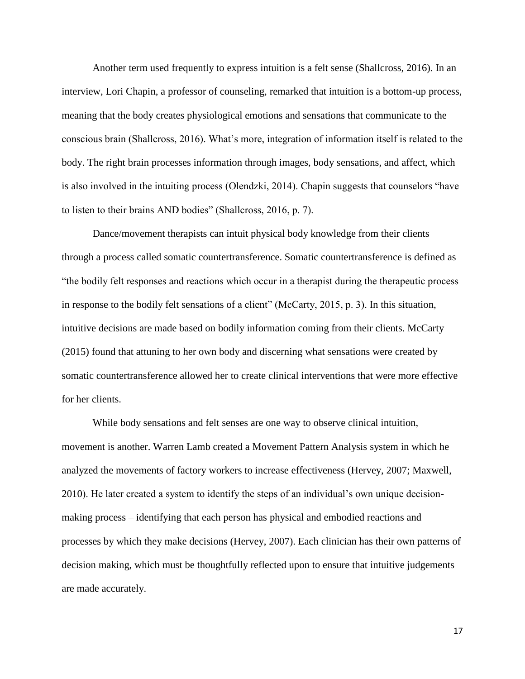Another term used frequently to express intuition is a felt sense (Shallcross, 2016). In an interview, Lori Chapin, a professor of counseling, remarked that intuition is a bottom-up process, meaning that the body creates physiological emotions and sensations that communicate to the conscious brain (Shallcross, 2016). What's more, integration of information itself is related to the body. The right brain processes information through images, body sensations, and affect, which is also involved in the intuiting process (Olendzki, 2014). Chapin suggests that counselors "have to listen to their brains AND bodies" (Shallcross, 2016, p. 7).

Dance/movement therapists can intuit physical body knowledge from their clients through a process called somatic countertransference. Somatic countertransference is defined as "the bodily felt responses and reactions which occur in a therapist during the therapeutic process in response to the bodily felt sensations of a client" (McCarty, 2015, p. 3). In this situation, intuitive decisions are made based on bodily information coming from their clients. McCarty (2015) found that attuning to her own body and discerning what sensations were created by somatic countertransference allowed her to create clinical interventions that were more effective for her clients.

While body sensations and felt senses are one way to observe clinical intuition, movement is another. Warren Lamb created a Movement Pattern Analysis system in which he analyzed the movements of factory workers to increase effectiveness (Hervey, 2007; Maxwell, 2010). He later created a system to identify the steps of an individual's own unique decisionmaking process – identifying that each person has physical and embodied reactions and processes by which they make decisions (Hervey, 2007). Each clinician has their own patterns of decision making, which must be thoughtfully reflected upon to ensure that intuitive judgements are made accurately.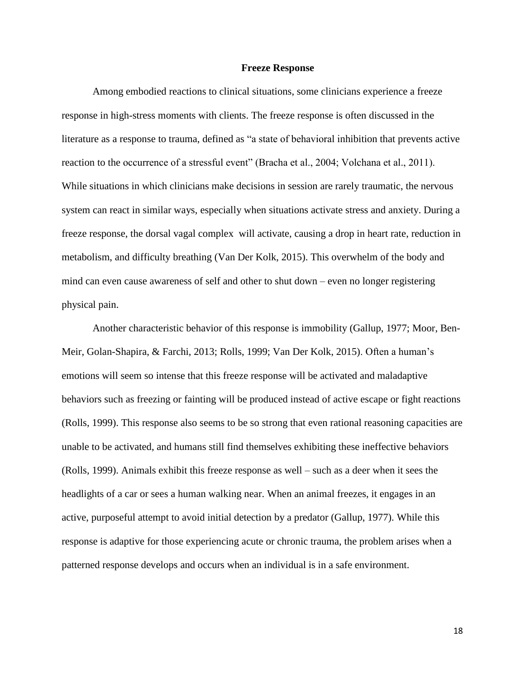#### **Freeze Response**

Among embodied reactions to clinical situations, some clinicians experience a freeze response in high-stress moments with clients. The freeze response is often discussed in the literature as a response to trauma, defined as "a state of behavioral inhibition that prevents active reaction to the occurrence of a stressful event" (Bracha et al., 2004; Volchana et al., 2011). While situations in which clinicians make decisions in session are rarely traumatic, the nervous system can react in similar ways, especially when situations activate stress and anxiety. During a freeze response, the dorsal vagal complex will activate, causing a drop in heart rate, reduction in metabolism, and difficulty breathing (Van Der Kolk, 2015). This overwhelm of the body and mind can even cause awareness of self and other to shut down – even no longer registering physical pain.

Another characteristic behavior of this response is immobility (Gallup, 1977; Moor, Ben-Meir, Golan-Shapira, & Farchi, 2013; Rolls, 1999; Van Der Kolk, 2015). Often a human's emotions will seem so intense that this freeze response will be activated and maladaptive behaviors such as freezing or fainting will be produced instead of active escape or fight reactions (Rolls, 1999). This response also seems to be so strong that even rational reasoning capacities are unable to be activated, and humans still find themselves exhibiting these ineffective behaviors (Rolls, 1999). Animals exhibit this freeze response as well – such as a deer when it sees the headlights of a car or sees a human walking near. When an animal freezes, it engages in an active, purposeful attempt to avoid initial detection by a predator (Gallup, 1977). While this response is adaptive for those experiencing acute or chronic trauma, the problem arises when a patterned response develops and occurs when an individual is in a safe environment.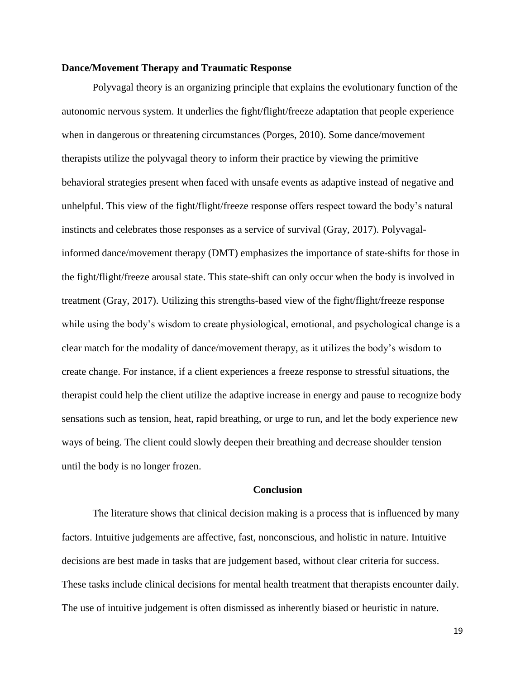# **Dance/Movement Therapy and Traumatic Response**

Polyvagal theory is an organizing principle that explains the evolutionary function of the autonomic nervous system. It underlies the fight/flight/freeze adaptation that people experience when in dangerous or threatening circumstances (Porges, 2010). Some dance/movement therapists utilize the polyvagal theory to inform their practice by viewing the primitive behavioral strategies present when faced with unsafe events as adaptive instead of negative and unhelpful. This view of the fight/flight/freeze response offers respect toward the body's natural instincts and celebrates those responses as a service of survival (Gray, 2017). Polyvagalinformed dance/movement therapy (DMT) emphasizes the importance of state-shifts for those in the fight/flight/freeze arousal state. This state-shift can only occur when the body is involved in treatment (Gray, 2017). Utilizing this strengths-based view of the fight/flight/freeze response while using the body's wisdom to create physiological, emotional, and psychological change is a clear match for the modality of dance/movement therapy, as it utilizes the body's wisdom to create change. For instance, if a client experiences a freeze response to stressful situations, the therapist could help the client utilize the adaptive increase in energy and pause to recognize body sensations such as tension, heat, rapid breathing, or urge to run, and let the body experience new ways of being. The client could slowly deepen their breathing and decrease shoulder tension until the body is no longer frozen.

## **Conclusion**

The literature shows that clinical decision making is a process that is influenced by many factors. Intuitive judgements are affective, fast, nonconscious, and holistic in nature. Intuitive decisions are best made in tasks that are judgement based, without clear criteria for success. These tasks include clinical decisions for mental health treatment that therapists encounter daily. The use of intuitive judgement is often dismissed as inherently biased or heuristic in nature.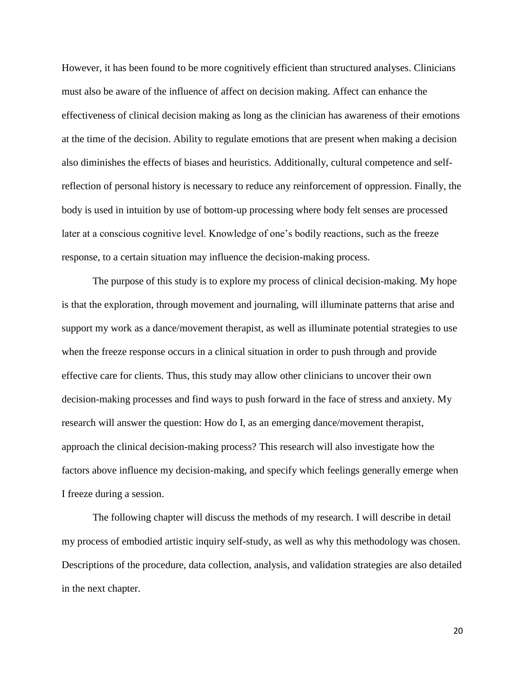However, it has been found to be more cognitively efficient than structured analyses. Clinicians must also be aware of the influence of affect on decision making. Affect can enhance the effectiveness of clinical decision making as long as the clinician has awareness of their emotions at the time of the decision. Ability to regulate emotions that are present when making a decision also diminishes the effects of biases and heuristics. Additionally, cultural competence and selfreflection of personal history is necessary to reduce any reinforcement of oppression. Finally, the body is used in intuition by use of bottom-up processing where body felt senses are processed later at a conscious cognitive level. Knowledge of one's bodily reactions, such as the freeze response, to a certain situation may influence the decision-making process.

The purpose of this study is to explore my process of clinical decision-making. My hope is that the exploration, through movement and journaling, will illuminate patterns that arise and support my work as a dance/movement therapist, as well as illuminate potential strategies to use when the freeze response occurs in a clinical situation in order to push through and provide effective care for clients. Thus, this study may allow other clinicians to uncover their own decision-making processes and find ways to push forward in the face of stress and anxiety. My research will answer the question: How do I, as an emerging dance/movement therapist, approach the clinical decision-making process? This research will also investigate how the factors above influence my decision-making, and specify which feelings generally emerge when I freeze during a session.

The following chapter will discuss the methods of my research. I will describe in detail my process of embodied artistic inquiry self-study, as well as why this methodology was chosen. Descriptions of the procedure, data collection, analysis, and validation strategies are also detailed in the next chapter.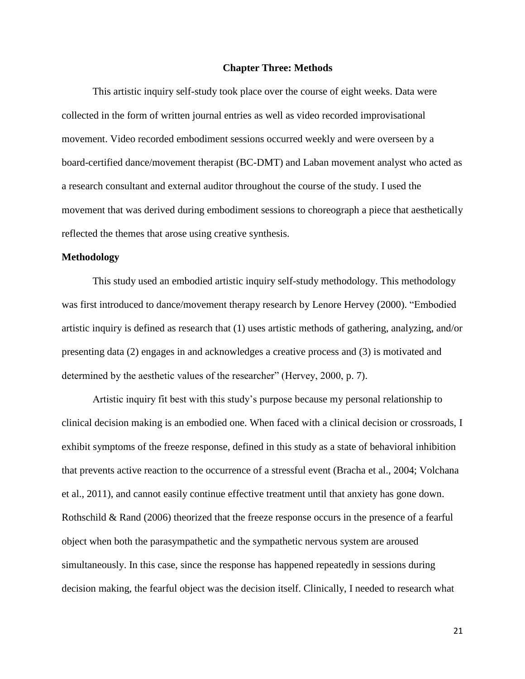#### **Chapter Three: Methods**

This artistic inquiry self-study took place over the course of eight weeks. Data were collected in the form of written journal entries as well as video recorded improvisational movement. Video recorded embodiment sessions occurred weekly and were overseen by a board-certified dance/movement therapist (BC-DMT) and Laban movement analyst who acted as a research consultant and external auditor throughout the course of the study. I used the movement that was derived during embodiment sessions to choreograph a piece that aesthetically reflected the themes that arose using creative synthesis.

#### **Methodology**

This study used an embodied artistic inquiry self-study methodology. This methodology was first introduced to dance/movement therapy research by Lenore Hervey (2000). "Embodied artistic inquiry is defined as research that (1) uses artistic methods of gathering, analyzing, and/or presenting data (2) engages in and acknowledges a creative process and (3) is motivated and determined by the aesthetic values of the researcher" (Hervey, 2000, p. 7).

Artistic inquiry fit best with this study's purpose because my personal relationship to clinical decision making is an embodied one. When faced with a clinical decision or crossroads, I exhibit symptoms of the freeze response, defined in this study as a state of behavioral inhibition that prevents active reaction to the occurrence of a stressful event (Bracha et al., 2004; Volchana et al., 2011), and cannot easily continue effective treatment until that anxiety has gone down. Rothschild & Rand (2006) theorized that the freeze response occurs in the presence of a fearful object when both the parasympathetic and the sympathetic nervous system are aroused simultaneously. In this case, since the response has happened repeatedly in sessions during decision making, the fearful object was the decision itself. Clinically, I needed to research what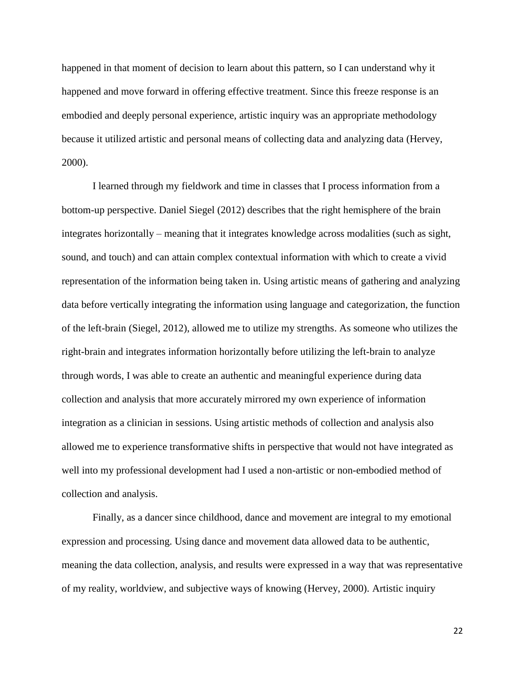happened in that moment of decision to learn about this pattern, so I can understand why it happened and move forward in offering effective treatment. Since this freeze response is an embodied and deeply personal experience, artistic inquiry was an appropriate methodology because it utilized artistic and personal means of collecting data and analyzing data (Hervey, 2000).

I learned through my fieldwork and time in classes that I process information from a bottom-up perspective. Daniel Siegel (2012) describes that the right hemisphere of the brain integrates horizontally – meaning that it integrates knowledge across modalities (such as sight, sound, and touch) and can attain complex contextual information with which to create a vivid representation of the information being taken in. Using artistic means of gathering and analyzing data before vertically integrating the information using language and categorization, the function of the left-brain (Siegel, 2012), allowed me to utilize my strengths. As someone who utilizes the right-brain and integrates information horizontally before utilizing the left-brain to analyze through words, I was able to create an authentic and meaningful experience during data collection and analysis that more accurately mirrored my own experience of information integration as a clinician in sessions. Using artistic methods of collection and analysis also allowed me to experience transformative shifts in perspective that would not have integrated as well into my professional development had I used a non-artistic or non-embodied method of collection and analysis.

Finally, as a dancer since childhood, dance and movement are integral to my emotional expression and processing. Using dance and movement data allowed data to be authentic, meaning the data collection, analysis, and results were expressed in a way that was representative of my reality, worldview, and subjective ways of knowing (Hervey, 2000). Artistic inquiry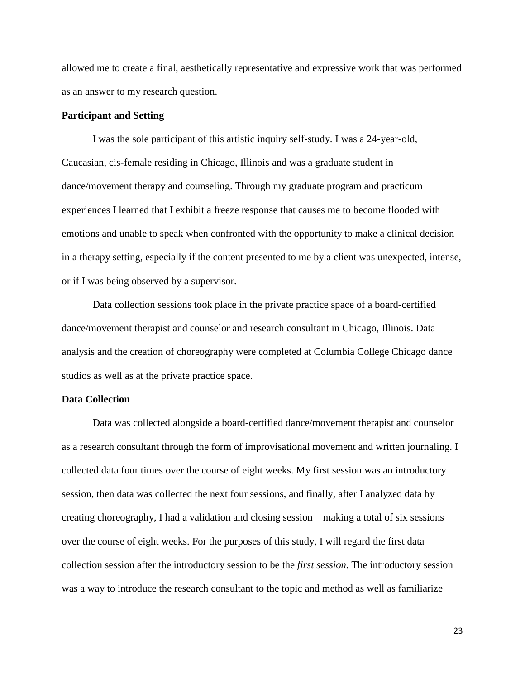allowed me to create a final, aesthetically representative and expressive work that was performed as an answer to my research question.

# **Participant and Setting**

I was the sole participant of this artistic inquiry self-study. I was a 24-year-old, Caucasian, cis-female residing in Chicago, Illinois and was a graduate student in dance/movement therapy and counseling. Through my graduate program and practicum experiences I learned that I exhibit a freeze response that causes me to become flooded with emotions and unable to speak when confronted with the opportunity to make a clinical decision in a therapy setting, especially if the content presented to me by a client was unexpected, intense, or if I was being observed by a supervisor.

Data collection sessions took place in the private practice space of a board-certified dance/movement therapist and counselor and research consultant in Chicago, Illinois. Data analysis and the creation of choreography were completed at Columbia College Chicago dance studios as well as at the private practice space.

# **Data Collection**

Data was collected alongside a board-certified dance/movement therapist and counselor as a research consultant through the form of improvisational movement and written journaling. I collected data four times over the course of eight weeks. My first session was an introductory session, then data was collected the next four sessions, and finally, after I analyzed data by creating choreography, I had a validation and closing session – making a total of six sessions over the course of eight weeks. For the purposes of this study, I will regard the first data collection session after the introductory session to be the *first session.* The introductory session was a way to introduce the research consultant to the topic and method as well as familiarize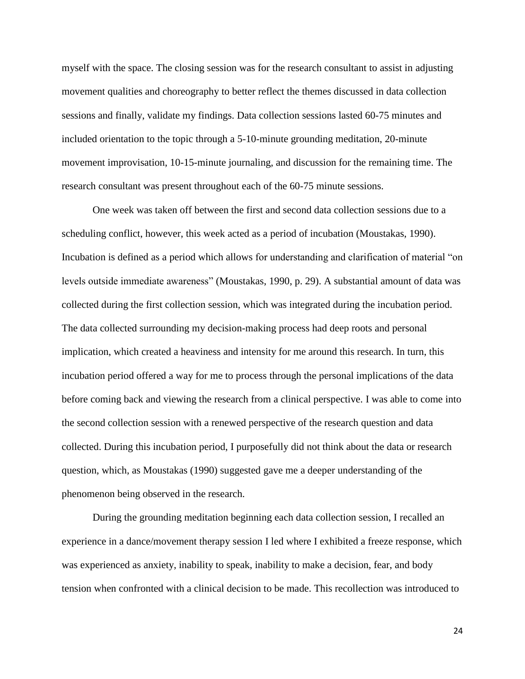myself with the space. The closing session was for the research consultant to assist in adjusting movement qualities and choreography to better reflect the themes discussed in data collection sessions and finally, validate my findings. Data collection sessions lasted 60-75 minutes and included orientation to the topic through a 5-10-minute grounding meditation, 20-minute movement improvisation, 10-15-minute journaling, and discussion for the remaining time. The research consultant was present throughout each of the 60-75 minute sessions.

One week was taken off between the first and second data collection sessions due to a scheduling conflict, however, this week acted as a period of incubation (Moustakas, 1990). Incubation is defined as a period which allows for understanding and clarification of material "on levels outside immediate awareness" (Moustakas, 1990, p. 29). A substantial amount of data was collected during the first collection session, which was integrated during the incubation period. The data collected surrounding my decision-making process had deep roots and personal implication, which created a heaviness and intensity for me around this research. In turn, this incubation period offered a way for me to process through the personal implications of the data before coming back and viewing the research from a clinical perspective. I was able to come into the second collection session with a renewed perspective of the research question and data collected. During this incubation period, I purposefully did not think about the data or research question, which, as Moustakas (1990) suggested gave me a deeper understanding of the phenomenon being observed in the research.

During the grounding meditation beginning each data collection session, I recalled an experience in a dance/movement therapy session I led where I exhibited a freeze response, which was experienced as anxiety, inability to speak, inability to make a decision, fear, and body tension when confronted with a clinical decision to be made. This recollection was introduced to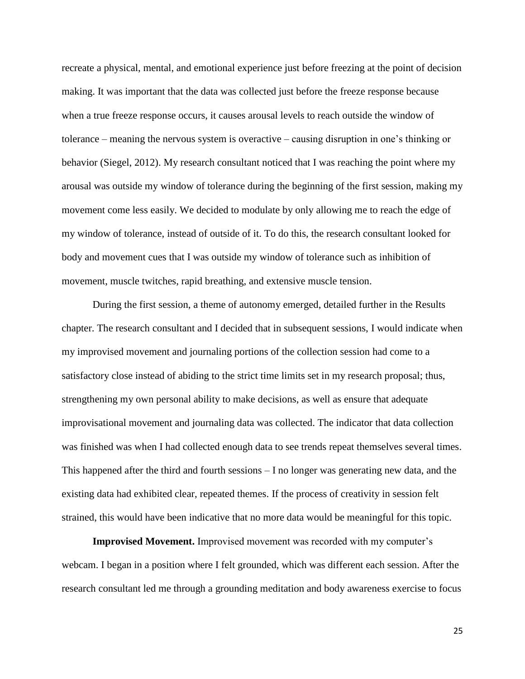recreate a physical, mental, and emotional experience just before freezing at the point of decision making. It was important that the data was collected just before the freeze response because when a true freeze response occurs, it causes arousal levels to reach outside the window of tolerance – meaning the nervous system is overactive – causing disruption in one's thinking or behavior (Siegel, 2012). My research consultant noticed that I was reaching the point where my arousal was outside my window of tolerance during the beginning of the first session, making my movement come less easily. We decided to modulate by only allowing me to reach the edge of my window of tolerance, instead of outside of it. To do this, the research consultant looked for body and movement cues that I was outside my window of tolerance such as inhibition of movement, muscle twitches, rapid breathing, and extensive muscle tension.

During the first session, a theme of autonomy emerged, detailed further in the Results chapter. The research consultant and I decided that in subsequent sessions, I would indicate when my improvised movement and journaling portions of the collection session had come to a satisfactory close instead of abiding to the strict time limits set in my research proposal; thus, strengthening my own personal ability to make decisions, as well as ensure that adequate improvisational movement and journaling data was collected. The indicator that data collection was finished was when I had collected enough data to see trends repeat themselves several times. This happened after the third and fourth sessions – I no longer was generating new data, and the existing data had exhibited clear, repeated themes. If the process of creativity in session felt strained, this would have been indicative that no more data would be meaningful for this topic.

**Improvised Movement.** Improvised movement was recorded with my computer's webcam. I began in a position where I felt grounded, which was different each session. After the research consultant led me through a grounding meditation and body awareness exercise to focus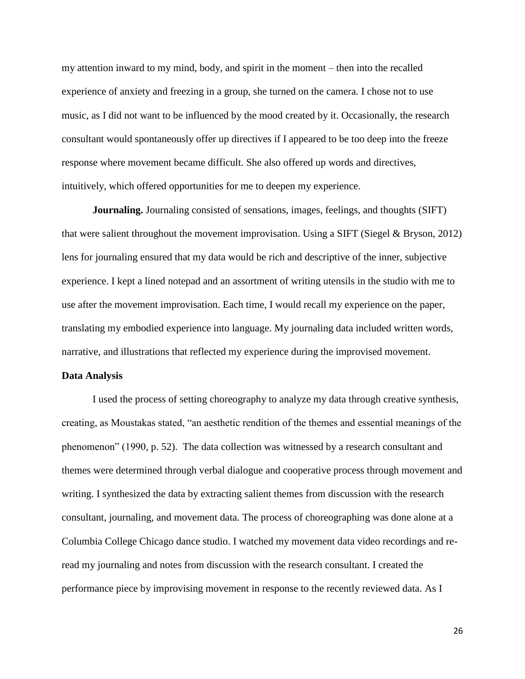my attention inward to my mind, body, and spirit in the moment – then into the recalled experience of anxiety and freezing in a group, she turned on the camera. I chose not to use music, as I did not want to be influenced by the mood created by it. Occasionally, the research consultant would spontaneously offer up directives if I appeared to be too deep into the freeze response where movement became difficult. She also offered up words and directives, intuitively, which offered opportunities for me to deepen my experience.

**Journaling.** Journaling consisted of sensations, images, feelings, and thoughts (SIFT) that were salient throughout the movement improvisation. Using a SIFT (Siegel & Bryson, 2012) lens for journaling ensured that my data would be rich and descriptive of the inner, subjective experience. I kept a lined notepad and an assortment of writing utensils in the studio with me to use after the movement improvisation. Each time, I would recall my experience on the paper, translating my embodied experience into language. My journaling data included written words, narrative, and illustrations that reflected my experience during the improvised movement.

#### **Data Analysis**

I used the process of setting choreography to analyze my data through creative synthesis, creating, as Moustakas stated, "an aesthetic rendition of the themes and essential meanings of the phenomenon" (1990, p. 52). The data collection was witnessed by a research consultant and themes were determined through verbal dialogue and cooperative process through movement and writing. I synthesized the data by extracting salient themes from discussion with the research consultant, journaling, and movement data. The process of choreographing was done alone at a Columbia College Chicago dance studio. I watched my movement data video recordings and reread my journaling and notes from discussion with the research consultant. I created the performance piece by improvising movement in response to the recently reviewed data. As I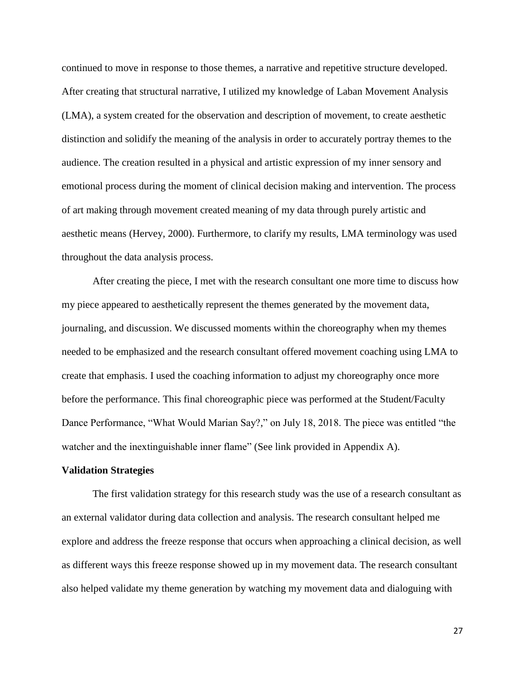continued to move in response to those themes, a narrative and repetitive structure developed. After creating that structural narrative, I utilized my knowledge of Laban Movement Analysis (LMA), a system created for the observation and description of movement, to create aesthetic distinction and solidify the meaning of the analysis in order to accurately portray themes to the audience. The creation resulted in a physical and artistic expression of my inner sensory and emotional process during the moment of clinical decision making and intervention. The process of art making through movement created meaning of my data through purely artistic and aesthetic means (Hervey, 2000). Furthermore, to clarify my results, LMA terminology was used throughout the data analysis process.

After creating the piece, I met with the research consultant one more time to discuss how my piece appeared to aesthetically represent the themes generated by the movement data, journaling, and discussion. We discussed moments within the choreography when my themes needed to be emphasized and the research consultant offered movement coaching using LMA to create that emphasis. I used the coaching information to adjust my choreography once more before the performance. This final choreographic piece was performed at the Student/Faculty Dance Performance, "What Would Marian Say?," on July 18, 2018. The piece was entitled "the watcher and the inextinguishable inner flame" (See link provided in Appendix A).

# **Validation Strategies**

The first validation strategy for this research study was the use of a research consultant as an external validator during data collection and analysis. The research consultant helped me explore and address the freeze response that occurs when approaching a clinical decision, as well as different ways this freeze response showed up in my movement data. The research consultant also helped validate my theme generation by watching my movement data and dialoguing with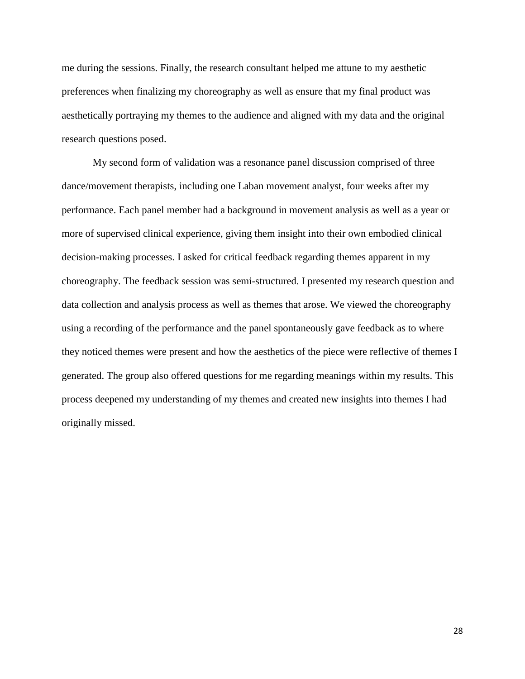me during the sessions. Finally, the research consultant helped me attune to my aesthetic preferences when finalizing my choreography as well as ensure that my final product was aesthetically portraying my themes to the audience and aligned with my data and the original research questions posed.

My second form of validation was a resonance panel discussion comprised of three dance/movement therapists, including one Laban movement analyst, four weeks after my performance. Each panel member had a background in movement analysis as well as a year or more of supervised clinical experience, giving them insight into their own embodied clinical decision-making processes. I asked for critical feedback regarding themes apparent in my choreography. The feedback session was semi-structured. I presented my research question and data collection and analysis process as well as themes that arose. We viewed the choreography using a recording of the performance and the panel spontaneously gave feedback as to where they noticed themes were present and how the aesthetics of the piece were reflective of themes I generated. The group also offered questions for me regarding meanings within my results. This process deepened my understanding of my themes and created new insights into themes I had originally missed.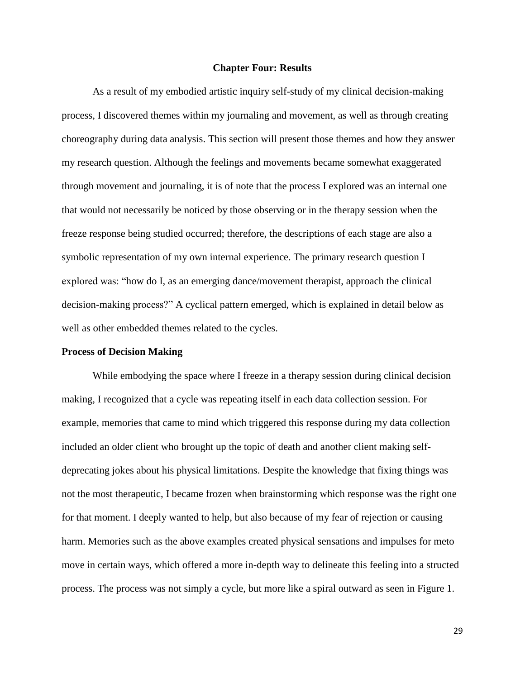#### **Chapter Four: Results**

As a result of my embodied artistic inquiry self-study of my clinical decision-making process, I discovered themes within my journaling and movement, as well as through creating choreography during data analysis. This section will present those themes and how they answer my research question. Although the feelings and movements became somewhat exaggerated through movement and journaling, it is of note that the process I explored was an internal one that would not necessarily be noticed by those observing or in the therapy session when the freeze response being studied occurred; therefore, the descriptions of each stage are also a symbolic representation of my own internal experience. The primary research question I explored was: "how do I, as an emerging dance/movement therapist, approach the clinical decision-making process?" A cyclical pattern emerged, which is explained in detail below as well as other embedded themes related to the cycles.

## **Process of Decision Making**

While embodying the space where I freeze in a therapy session during clinical decision making, I recognized that a cycle was repeating itself in each data collection session. For example, memories that came to mind which triggered this response during my data collection included an older client who brought up the topic of death and another client making selfdeprecating jokes about his physical limitations. Despite the knowledge that fixing things was not the most therapeutic, I became frozen when brainstorming which response was the right one for that moment. I deeply wanted to help, but also because of my fear of rejection or causing harm. Memories such as the above examples created physical sensations and impulses for meto move in certain ways, which offered a more in-depth way to delineate this feeling into a structed process. The process was not simply a cycle, but more like a spiral outward as seen in Figure 1.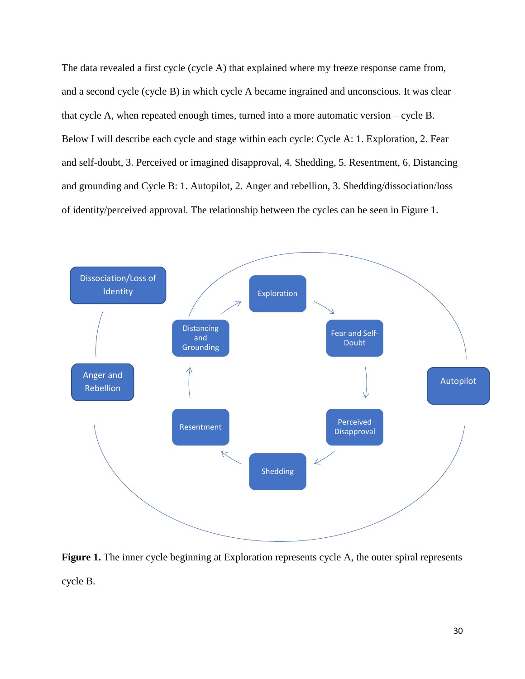The data revealed a first cycle (cycle A) that explained where my freeze response came from, and a second cycle (cycle B) in which cycle A became ingrained and unconscious. It was clear that cycle A, when repeated enough times, turned into a more automatic version – cycle B. Below I will describe each cycle and stage within each cycle: Cycle A: 1. Exploration, 2. Fear and self-doubt, 3. Perceived or imagined disapproval, 4. Shedding, 5. Resentment, 6. Distancing and grounding and Cycle B: 1. Autopilot, 2. Anger and rebellion, 3. Shedding/dissociation/loss of identity/perceived approval. The relationship between the cycles can be seen in Figure 1.



**Figure 1.** The inner cycle beginning at Exploration represents cycle A, the outer spiral represents cycle B.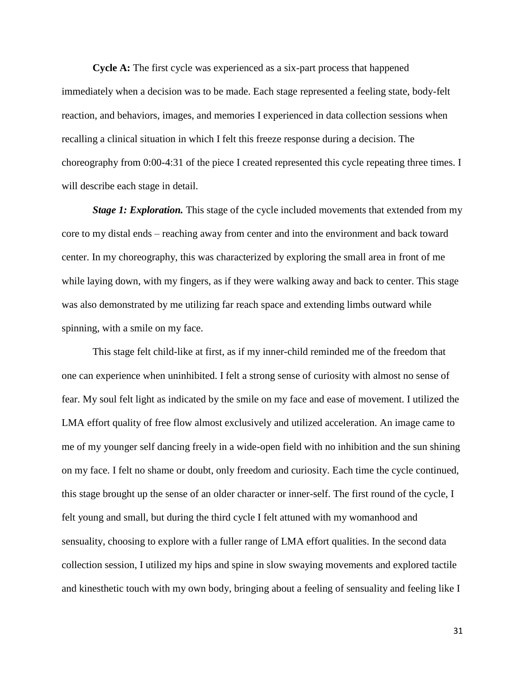**Cycle A:** The first cycle was experienced as a six-part process that happened immediately when a decision was to be made. Each stage represented a feeling state, body-felt reaction, and behaviors, images, and memories I experienced in data collection sessions when recalling a clinical situation in which I felt this freeze response during a decision. The choreography from 0:00-4:31 of the piece I created represented this cycle repeating three times. I will describe each stage in detail.

*Stage 1: Exploration.* This stage of the cycle included movements that extended from my core to my distal ends – reaching away from center and into the environment and back toward center. In my choreography, this was characterized by exploring the small area in front of me while laying down, with my fingers, as if they were walking away and back to center. This stage was also demonstrated by me utilizing far reach space and extending limbs outward while spinning, with a smile on my face.

This stage felt child-like at first, as if my inner-child reminded me of the freedom that one can experience when uninhibited. I felt a strong sense of curiosity with almost no sense of fear. My soul felt light as indicated by the smile on my face and ease of movement. I utilized the LMA effort quality of free flow almost exclusively and utilized acceleration. An image came to me of my younger self dancing freely in a wide-open field with no inhibition and the sun shining on my face. I felt no shame or doubt, only freedom and curiosity. Each time the cycle continued, this stage brought up the sense of an older character or inner-self. The first round of the cycle, I felt young and small, but during the third cycle I felt attuned with my womanhood and sensuality, choosing to explore with a fuller range of LMA effort qualities. In the second data collection session, I utilized my hips and spine in slow swaying movements and explored tactile and kinesthetic touch with my own body, bringing about a feeling of sensuality and feeling like I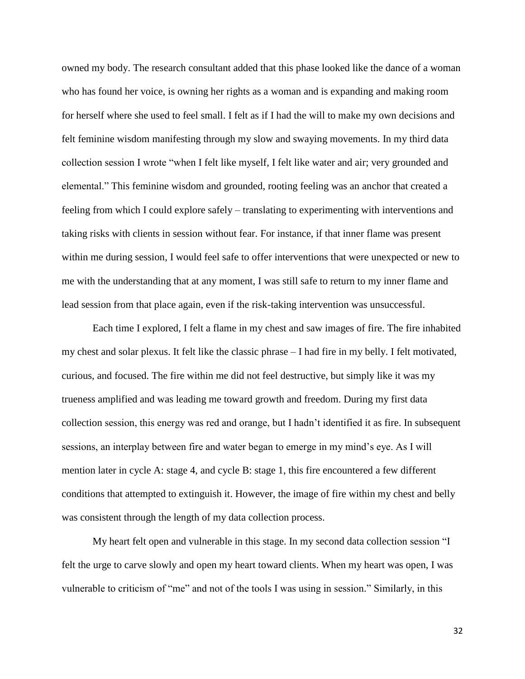owned my body. The research consultant added that this phase looked like the dance of a woman who has found her voice, is owning her rights as a woman and is expanding and making room for herself where she used to feel small. I felt as if I had the will to make my own decisions and felt feminine wisdom manifesting through my slow and swaying movements. In my third data collection session I wrote "when I felt like myself, I felt like water and air; very grounded and elemental." This feminine wisdom and grounded, rooting feeling was an anchor that created a feeling from which I could explore safely – translating to experimenting with interventions and taking risks with clients in session without fear. For instance, if that inner flame was present within me during session, I would feel safe to offer interventions that were unexpected or new to me with the understanding that at any moment, I was still safe to return to my inner flame and lead session from that place again, even if the risk-taking intervention was unsuccessful.

Each time I explored, I felt a flame in my chest and saw images of fire. The fire inhabited my chest and solar plexus. It felt like the classic phrase – I had fire in my belly. I felt motivated, curious, and focused. The fire within me did not feel destructive, but simply like it was my trueness amplified and was leading me toward growth and freedom. During my first data collection session, this energy was red and orange, but I hadn't identified it as fire. In subsequent sessions, an interplay between fire and water began to emerge in my mind's eye. As I will mention later in cycle A: stage 4, and cycle B: stage 1, this fire encountered a few different conditions that attempted to extinguish it. However, the image of fire within my chest and belly was consistent through the length of my data collection process.

My heart felt open and vulnerable in this stage. In my second data collection session "I felt the urge to carve slowly and open my heart toward clients. When my heart was open, I was vulnerable to criticism of "me" and not of the tools I was using in session." Similarly, in this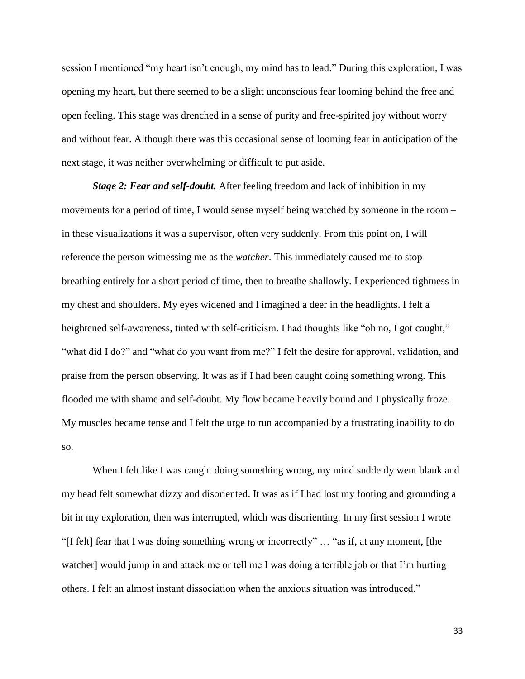session I mentioned "my heart isn't enough, my mind has to lead." During this exploration, I was opening my heart, but there seemed to be a slight unconscious fear looming behind the free and open feeling. This stage was drenched in a sense of purity and free-spirited joy without worry and without fear. Although there was this occasional sense of looming fear in anticipation of the next stage, it was neither overwhelming or difficult to put aside.

*Stage 2: Fear and self-doubt.* After feeling freedom and lack of inhibition in my movements for a period of time, I would sense myself being watched by someone in the room – in these visualizations it was a supervisor, often very suddenly. From this point on, I will reference the person witnessing me as the *watcher*. This immediately caused me to stop breathing entirely for a short period of time, then to breathe shallowly. I experienced tightness in my chest and shoulders. My eyes widened and I imagined a deer in the headlights. I felt a heightened self-awareness, tinted with self-criticism. I had thoughts like "oh no, I got caught," "what did I do?" and "what do you want from me?" I felt the desire for approval, validation, and praise from the person observing. It was as if I had been caught doing something wrong. This flooded me with shame and self-doubt. My flow became heavily bound and I physically froze. My muscles became tense and I felt the urge to run accompanied by a frustrating inability to do so.

When I felt like I was caught doing something wrong, my mind suddenly went blank and my head felt somewhat dizzy and disoriented. It was as if I had lost my footing and grounding a bit in my exploration, then was interrupted, which was disorienting. In my first session I wrote "[I felt] fear that I was doing something wrong or incorrectly" … "as if, at any moment, [the watcher] would jump in and attack me or tell me I was doing a terrible job or that I'm hurting others. I felt an almost instant dissociation when the anxious situation was introduced."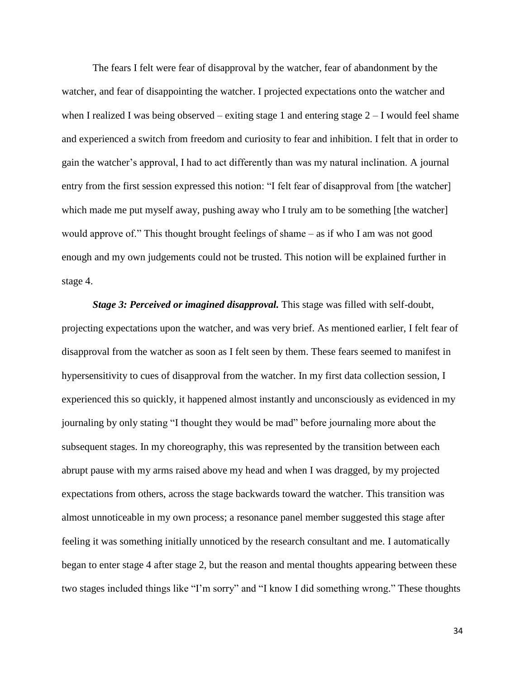The fears I felt were fear of disapproval by the watcher, fear of abandonment by the watcher, and fear of disappointing the watcher. I projected expectations onto the watcher and when I realized I was being observed – exiting stage 1 and entering stage  $2 - I$  would feel shame and experienced a switch from freedom and curiosity to fear and inhibition. I felt that in order to gain the watcher's approval, I had to act differently than was my natural inclination. A journal entry from the first session expressed this notion: "I felt fear of disapproval from [the watcher] which made me put myself away, pushing away who I truly am to be something [the watcher] would approve of." This thought brought feelings of shame – as if who I am was not good enough and my own judgements could not be trusted. This notion will be explained further in stage 4.

*Stage 3: Perceived or imagined disapproval.* This stage was filled with self-doubt, projecting expectations upon the watcher, and was very brief. As mentioned earlier, I felt fear of disapproval from the watcher as soon as I felt seen by them. These fears seemed to manifest in hypersensitivity to cues of disapproval from the watcher. In my first data collection session, I experienced this so quickly, it happened almost instantly and unconsciously as evidenced in my journaling by only stating "I thought they would be mad" before journaling more about the subsequent stages. In my choreography, this was represented by the transition between each abrupt pause with my arms raised above my head and when I was dragged, by my projected expectations from others, across the stage backwards toward the watcher. This transition was almost unnoticeable in my own process; a resonance panel member suggested this stage after feeling it was something initially unnoticed by the research consultant and me. I automatically began to enter stage 4 after stage 2, but the reason and mental thoughts appearing between these two stages included things like "I'm sorry" and "I know I did something wrong." These thoughts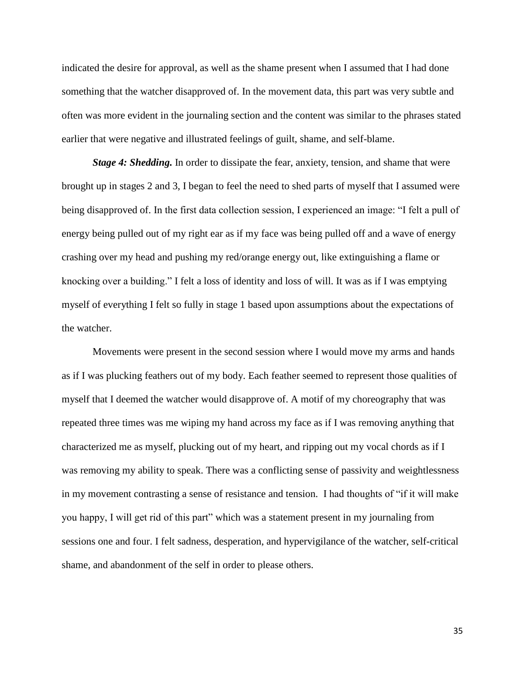indicated the desire for approval, as well as the shame present when I assumed that I had done something that the watcher disapproved of. In the movement data, this part was very subtle and often was more evident in the journaling section and the content was similar to the phrases stated earlier that were negative and illustrated feelings of guilt, shame, and self-blame.

*Stage 4: Shedding.* In order to dissipate the fear, anxiety, tension, and shame that were brought up in stages 2 and 3, I began to feel the need to shed parts of myself that I assumed were being disapproved of. In the first data collection session, I experienced an image: "I felt a pull of energy being pulled out of my right ear as if my face was being pulled off and a wave of energy crashing over my head and pushing my red/orange energy out, like extinguishing a flame or knocking over a building." I felt a loss of identity and loss of will. It was as if I was emptying myself of everything I felt so fully in stage 1 based upon assumptions about the expectations of the watcher.

Movements were present in the second session where I would move my arms and hands as if I was plucking feathers out of my body. Each feather seemed to represent those qualities of myself that I deemed the watcher would disapprove of. A motif of my choreography that was repeated three times was me wiping my hand across my face as if I was removing anything that characterized me as myself, plucking out of my heart, and ripping out my vocal chords as if I was removing my ability to speak. There was a conflicting sense of passivity and weightlessness in my movement contrasting a sense of resistance and tension. I had thoughts of "if it will make you happy, I will get rid of this part" which was a statement present in my journaling from sessions one and four. I felt sadness, desperation, and hypervigilance of the watcher, self-critical shame, and abandonment of the self in order to please others.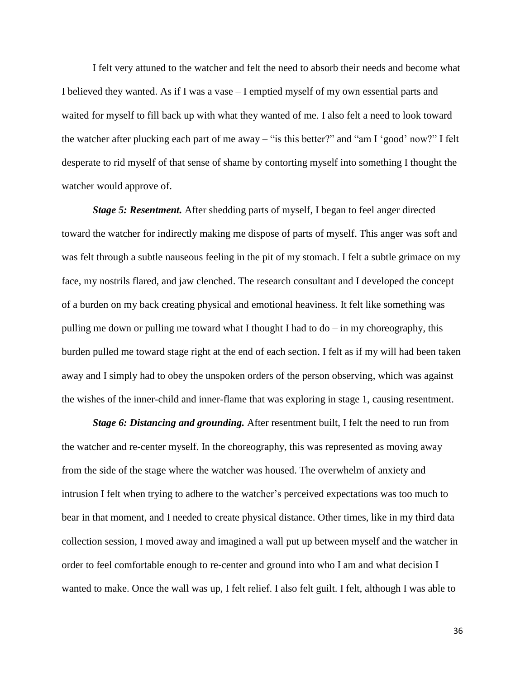I felt very attuned to the watcher and felt the need to absorb their needs and become what I believed they wanted. As if I was a vase – I emptied myself of my own essential parts and waited for myself to fill back up with what they wanted of me. I also felt a need to look toward the watcher after plucking each part of me away – "is this better?" and "am I 'good' now?" I felt desperate to rid myself of that sense of shame by contorting myself into something I thought the watcher would approve of.

*Stage 5: Resentment.* After shedding parts of myself, I began to feel anger directed toward the watcher for indirectly making me dispose of parts of myself. This anger was soft and was felt through a subtle nauseous feeling in the pit of my stomach. I felt a subtle grimace on my face, my nostrils flared, and jaw clenched. The research consultant and I developed the concept of a burden on my back creating physical and emotional heaviness. It felt like something was pulling me down or pulling me toward what I thought I had to  $d\sigma$  – in my choreography, this burden pulled me toward stage right at the end of each section. I felt as if my will had been taken away and I simply had to obey the unspoken orders of the person observing, which was against the wishes of the inner-child and inner-flame that was exploring in stage 1, causing resentment.

*Stage 6: Distancing and grounding.* After resentment built, I felt the need to run from the watcher and re-center myself. In the choreography, this was represented as moving away from the side of the stage where the watcher was housed. The overwhelm of anxiety and intrusion I felt when trying to adhere to the watcher's perceived expectations was too much to bear in that moment, and I needed to create physical distance. Other times, like in my third data collection session, I moved away and imagined a wall put up between myself and the watcher in order to feel comfortable enough to re-center and ground into who I am and what decision I wanted to make. Once the wall was up, I felt relief. I also felt guilt. I felt, although I was able to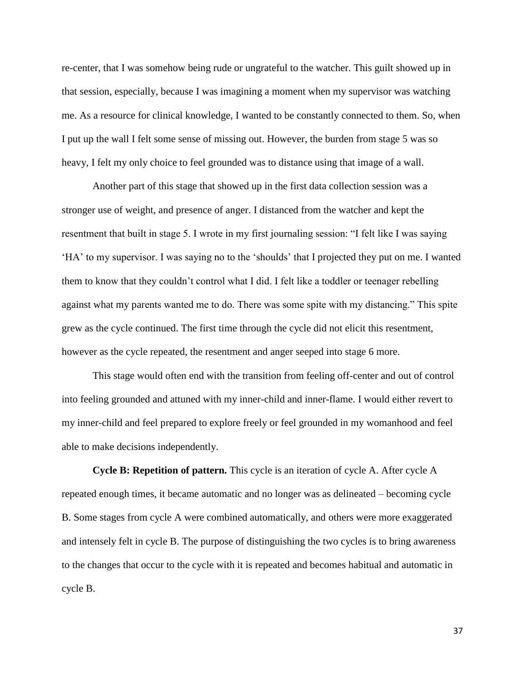re-center, that I was somehow being rude or ungrateful to the watcher. This guilt showed up in that session, especially, because I was imagining a moment when my supervisor was watching me. As a resource for clinical knowledge, I wanted to be constantly connected to them. So, when I put up the wall I felt some sense of missing out. However, the burden from stage 5 was so heavy, I felt my only choice to feel grounded was to distance using that image of a wall.

Another part of this stage that showed up in the first data collection session was a stronger use of weight, and presence of anger. I distanced from the watcher and kept the resentment that built in stage 5. I wrote in my first journaling session: "I felt like I was saying 'HA' to my supervisor. I was saying no to the 'shoulds' that I projected they put on me. I wanted them to know that they couldn't control what I did. I felt like a toddler or teenager rebelling against what my parents wanted me to do. There was some spite with my distancing." This spite grew as the cycle continued. The first time through the cycle did not elicit this resentment, however as the cycle repeated, the resentment and anger seeped into stage 6 more.

This stage would often end with the transition from feeling off-center and out of control into feeling grounded and attuned with my inner-child and inner-flame. I would either revert to my inner-child and feel prepared to explore freely or feel grounded in my womanhood and feel able to make decisions independently.

**Cycle B: Repetition of pattern.** This cycle is an iteration of cycle A. After cycle A repeated enough times, it became automatic and no longer was as delineated – becoming cycle B. Some stages from cycle A were combined automatically, and others were more exaggerated and intensely felt in cycle B. The purpose of distinguishing the two cycles is to bring awareness to the changes that occur to the cycle with it is repeated and becomes habitual and automatic in cycle B.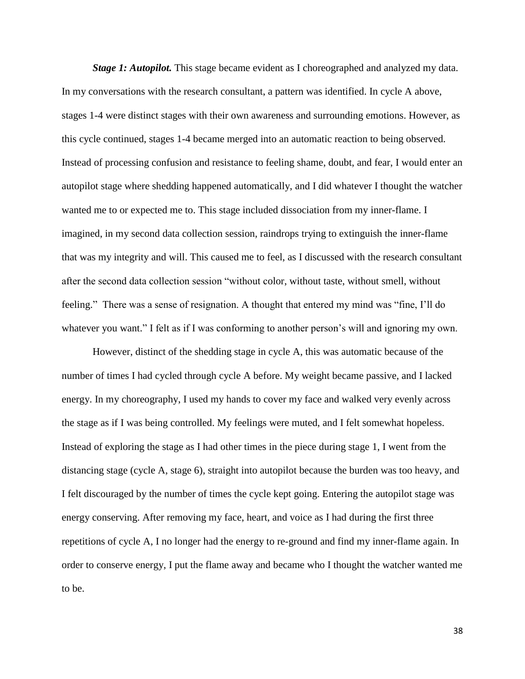*Stage 1: Autopilot.* This stage became evident as I choreographed and analyzed my data. In my conversations with the research consultant, a pattern was identified. In cycle A above, stages 1-4 were distinct stages with their own awareness and surrounding emotions. However, as this cycle continued, stages 1-4 became merged into an automatic reaction to being observed. Instead of processing confusion and resistance to feeling shame, doubt, and fear, I would enter an autopilot stage where shedding happened automatically, and I did whatever I thought the watcher wanted me to or expected me to. This stage included dissociation from my inner-flame. I imagined, in my second data collection session, raindrops trying to extinguish the inner-flame that was my integrity and will. This caused me to feel, as I discussed with the research consultant after the second data collection session "without color, without taste, without smell, without feeling." There was a sense of resignation. A thought that entered my mind was "fine, I'll do whatever you want." I felt as if I was conforming to another person's will and ignoring my own.

However, distinct of the shedding stage in cycle A, this was automatic because of the number of times I had cycled through cycle A before. My weight became passive, and I lacked energy. In my choreography, I used my hands to cover my face and walked very evenly across the stage as if I was being controlled. My feelings were muted, and I felt somewhat hopeless. Instead of exploring the stage as I had other times in the piece during stage 1, I went from the distancing stage (cycle A, stage 6), straight into autopilot because the burden was too heavy, and I felt discouraged by the number of times the cycle kept going. Entering the autopilot stage was energy conserving. After removing my face, heart, and voice as I had during the first three repetitions of cycle A, I no longer had the energy to re-ground and find my inner-flame again. In order to conserve energy, I put the flame away and became who I thought the watcher wanted me to be.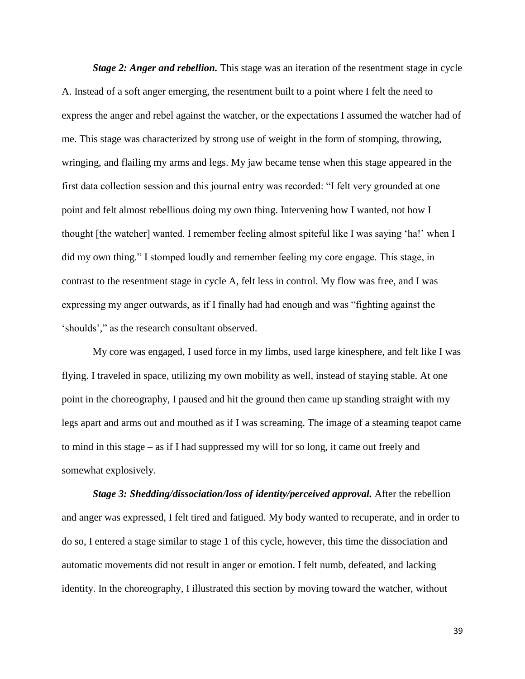*Stage 2: Anger and rebellion.* This stage was an iteration of the resentment stage in cycle A. Instead of a soft anger emerging, the resentment built to a point where I felt the need to express the anger and rebel against the watcher, or the expectations I assumed the watcher had of me. This stage was characterized by strong use of weight in the form of stomping, throwing, wringing, and flailing my arms and legs. My jaw became tense when this stage appeared in the first data collection session and this journal entry was recorded: "I felt very grounded at one point and felt almost rebellious doing my own thing. Intervening how I wanted, not how I thought [the watcher] wanted. I remember feeling almost spiteful like I was saying 'ha!' when I did my own thing." I stomped loudly and remember feeling my core engage. This stage, in contrast to the resentment stage in cycle A, felt less in control. My flow was free, and I was expressing my anger outwards, as if I finally had had enough and was "fighting against the 'shoulds'," as the research consultant observed.

My core was engaged, I used force in my limbs, used large kinesphere, and felt like I was flying. I traveled in space, utilizing my own mobility as well, instead of staying stable. At one point in the choreography, I paused and hit the ground then came up standing straight with my legs apart and arms out and mouthed as if I was screaming. The image of a steaming teapot came to mind in this stage – as if I had suppressed my will for so long, it came out freely and somewhat explosively.

*Stage 3: Shedding/dissociation/loss of identity/perceived approval.* After the rebellion and anger was expressed, I felt tired and fatigued. My body wanted to recuperate, and in order to do so, I entered a stage similar to stage 1 of this cycle, however, this time the dissociation and automatic movements did not result in anger or emotion. I felt numb, defeated, and lacking identity. In the choreography, I illustrated this section by moving toward the watcher, without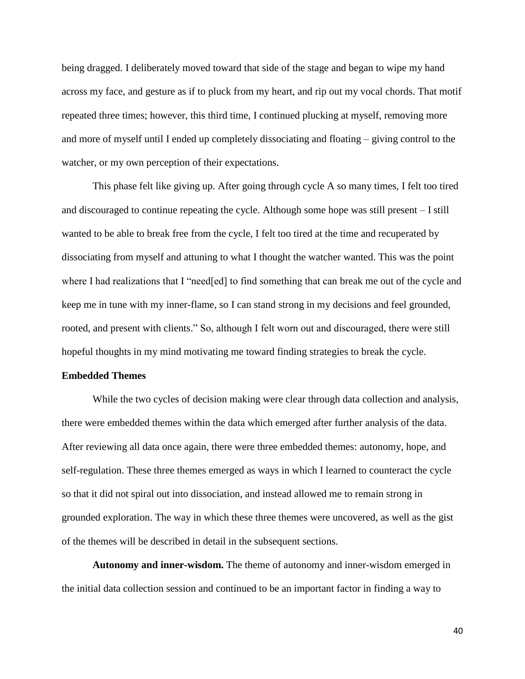being dragged. I deliberately moved toward that side of the stage and began to wipe my hand across my face, and gesture as if to pluck from my heart, and rip out my vocal chords. That motif repeated three times; however, this third time, I continued plucking at myself, removing more and more of myself until I ended up completely dissociating and floating – giving control to the watcher, or my own perception of their expectations.

This phase felt like giving up. After going through cycle A so many times, I felt too tired and discouraged to continue repeating the cycle. Although some hope was still present – I still wanted to be able to break free from the cycle, I felt too tired at the time and recuperated by dissociating from myself and attuning to what I thought the watcher wanted. This was the point where I had realizations that I "need[ed] to find something that can break me out of the cycle and keep me in tune with my inner-flame, so I can stand strong in my decisions and feel grounded, rooted, and present with clients." So, although I felt worn out and discouraged, there were still hopeful thoughts in my mind motivating me toward finding strategies to break the cycle.

# **Embedded Themes**

While the two cycles of decision making were clear through data collection and analysis, there were embedded themes within the data which emerged after further analysis of the data. After reviewing all data once again, there were three embedded themes: autonomy, hope, and self-regulation. These three themes emerged as ways in which I learned to counteract the cycle so that it did not spiral out into dissociation, and instead allowed me to remain strong in grounded exploration. The way in which these three themes were uncovered, as well as the gist of the themes will be described in detail in the subsequent sections.

**Autonomy and inner-wisdom.** The theme of autonomy and inner-wisdom emerged in the initial data collection session and continued to be an important factor in finding a way to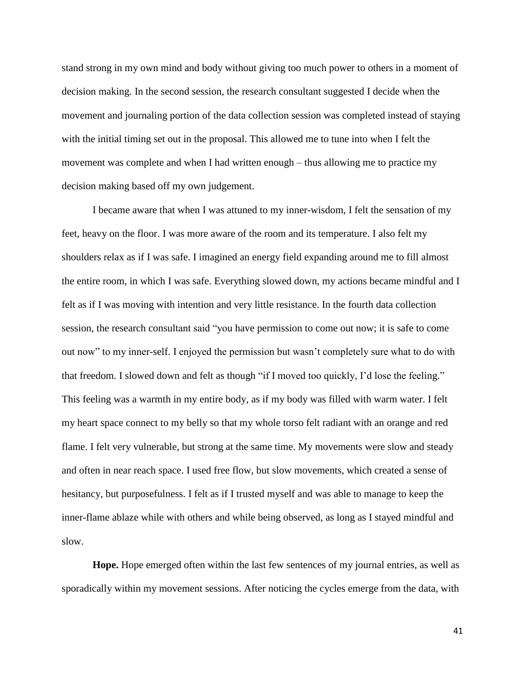stand strong in my own mind and body without giving too much power to others in a moment of decision making. In the second session, the research consultant suggested I decide when the movement and journaling portion of the data collection session was completed instead of staying with the initial timing set out in the proposal. This allowed me to tune into when I felt the movement was complete and when I had written enough – thus allowing me to practice my decision making based off my own judgement.

I became aware that when I was attuned to my inner-wisdom, I felt the sensation of my feet, heavy on the floor. I was more aware of the room and its temperature. I also felt my shoulders relax as if I was safe. I imagined an energy field expanding around me to fill almost the entire room, in which I was safe. Everything slowed down, my actions became mindful and I felt as if I was moving with intention and very little resistance. In the fourth data collection session, the research consultant said "you have permission to come out now; it is safe to come out now" to my inner-self. I enjoyed the permission but wasn't completely sure what to do with that freedom. I slowed down and felt as though "if I moved too quickly, I'd lose the feeling." This feeling was a warmth in my entire body, as if my body was filled with warm water. I felt my heart space connect to my belly so that my whole torso felt radiant with an orange and red flame. I felt very vulnerable, but strong at the same time. My movements were slow and steady and often in near reach space. I used free flow, but slow movements, which created a sense of hesitancy, but purposefulness. I felt as if I trusted myself and was able to manage to keep the inner-flame ablaze while with others and while being observed, as long as I stayed mindful and slow.

**Hope.** Hope emerged often within the last few sentences of my journal entries, as well as sporadically within my movement sessions. After noticing the cycles emerge from the data, with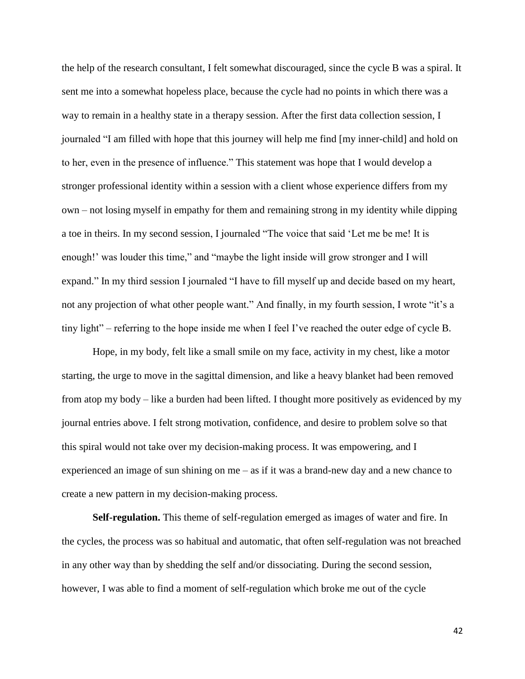the help of the research consultant, I felt somewhat discouraged, since the cycle B was a spiral. It sent me into a somewhat hopeless place, because the cycle had no points in which there was a way to remain in a healthy state in a therapy session. After the first data collection session, I journaled "I am filled with hope that this journey will help me find [my inner-child] and hold on to her, even in the presence of influence." This statement was hope that I would develop a stronger professional identity within a session with a client whose experience differs from my own – not losing myself in empathy for them and remaining strong in my identity while dipping a toe in theirs. In my second session, I journaled "The voice that said 'Let me be me! It is enough!' was louder this time," and "maybe the light inside will grow stronger and I will expand." In my third session I journaled "I have to fill myself up and decide based on my heart, not any projection of what other people want." And finally, in my fourth session, I wrote "it's a tiny light" – referring to the hope inside me when I feel I've reached the outer edge of cycle B.

Hope, in my body, felt like a small smile on my face, activity in my chest, like a motor starting, the urge to move in the sagittal dimension, and like a heavy blanket had been removed from atop my body – like a burden had been lifted. I thought more positively as evidenced by my journal entries above. I felt strong motivation, confidence, and desire to problem solve so that this spiral would not take over my decision-making process. It was empowering, and I experienced an image of sun shining on me – as if it was a brand-new day and a new chance to create a new pattern in my decision-making process.

**Self-regulation.** This theme of self-regulation emerged as images of water and fire. In the cycles, the process was so habitual and automatic, that often self-regulation was not breached in any other way than by shedding the self and/or dissociating. During the second session, however, I was able to find a moment of self-regulation which broke me out of the cycle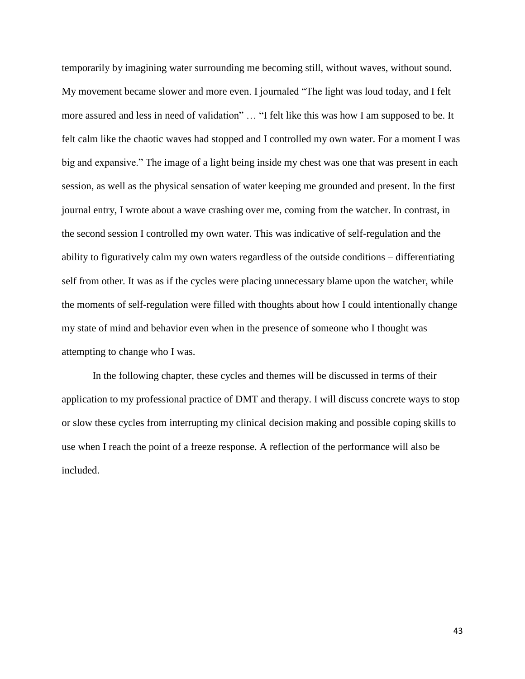temporarily by imagining water surrounding me becoming still, without waves, without sound. My movement became slower and more even. I journaled "The light was loud today, and I felt more assured and less in need of validation" … "I felt like this was how I am supposed to be. It felt calm like the chaotic waves had stopped and I controlled my own water. For a moment I was big and expansive." The image of a light being inside my chest was one that was present in each session, as well as the physical sensation of water keeping me grounded and present. In the first journal entry, I wrote about a wave crashing over me, coming from the watcher. In contrast, in the second session I controlled my own water. This was indicative of self-regulation and the ability to figuratively calm my own waters regardless of the outside conditions – differentiating self from other. It was as if the cycles were placing unnecessary blame upon the watcher, while the moments of self-regulation were filled with thoughts about how I could intentionally change my state of mind and behavior even when in the presence of someone who I thought was attempting to change who I was.

In the following chapter, these cycles and themes will be discussed in terms of their application to my professional practice of DMT and therapy. I will discuss concrete ways to stop or slow these cycles from interrupting my clinical decision making and possible coping skills to use when I reach the point of a freeze response. A reflection of the performance will also be included.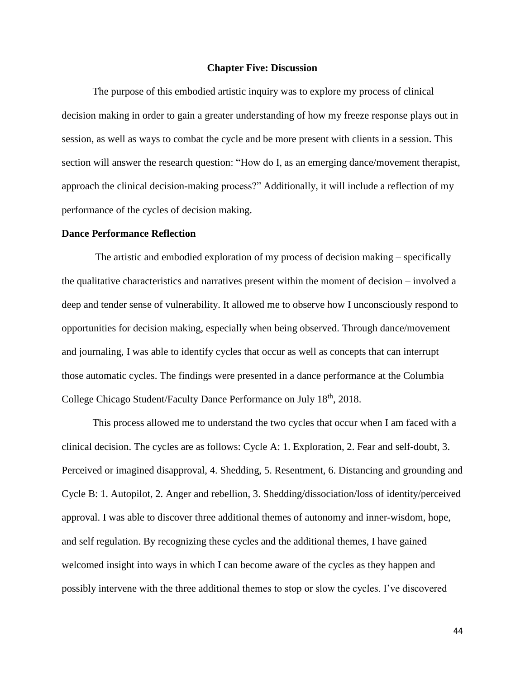# **Chapter Five: Discussion**

The purpose of this embodied artistic inquiry was to explore my process of clinical decision making in order to gain a greater understanding of how my freeze response plays out in session, as well as ways to combat the cycle and be more present with clients in a session. This section will answer the research question: "How do I, as an emerging dance/movement therapist, approach the clinical decision-making process?" Additionally, it will include a reflection of my performance of the cycles of decision making.

#### **Dance Performance Reflection**

The artistic and embodied exploration of my process of decision making – specifically the qualitative characteristics and narratives present within the moment of decision – involved a deep and tender sense of vulnerability. It allowed me to observe how I unconsciously respond to opportunities for decision making, especially when being observed. Through dance/movement and journaling, I was able to identify cycles that occur as well as concepts that can interrupt those automatic cycles. The findings were presented in a dance performance at the Columbia College Chicago Student/Faculty Dance Performance on July 18<sup>th</sup>, 2018.

This process allowed me to understand the two cycles that occur when I am faced with a clinical decision. The cycles are as follows: Cycle A: 1. Exploration, 2. Fear and self-doubt, 3. Perceived or imagined disapproval, 4. Shedding, 5. Resentment, 6. Distancing and grounding and Cycle B: 1. Autopilot, 2. Anger and rebellion, 3. Shedding/dissociation/loss of identity/perceived approval. I was able to discover three additional themes of autonomy and inner-wisdom, hope, and self regulation. By recognizing these cycles and the additional themes, I have gained welcomed insight into ways in which I can become aware of the cycles as they happen and possibly intervene with the three additional themes to stop or slow the cycles. I've discovered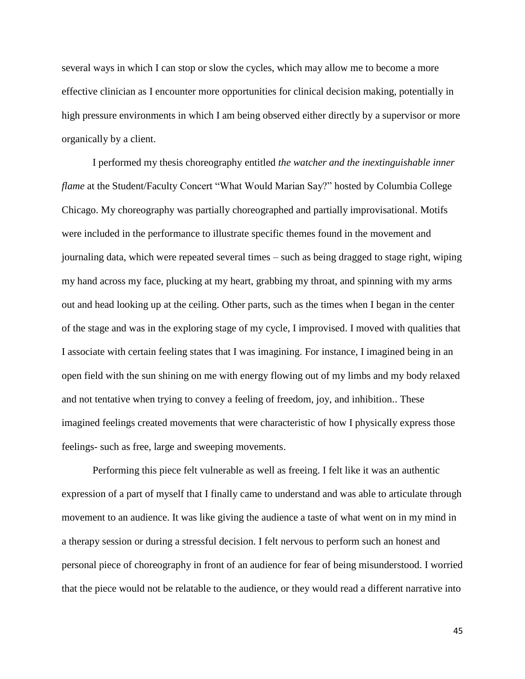several ways in which I can stop or slow the cycles, which may allow me to become a more effective clinician as I encounter more opportunities for clinical decision making, potentially in high pressure environments in which I am being observed either directly by a supervisor or more organically by a client.

I performed my thesis choreography entitled *the watcher and the inextinguishable inner flame* at the Student/Faculty Concert "What Would Marian Say?" hosted by Columbia College Chicago. My choreography was partially choreographed and partially improvisational. Motifs were included in the performance to illustrate specific themes found in the movement and journaling data, which were repeated several times – such as being dragged to stage right, wiping my hand across my face, plucking at my heart, grabbing my throat, and spinning with my arms out and head looking up at the ceiling. Other parts, such as the times when I began in the center of the stage and was in the exploring stage of my cycle, I improvised. I moved with qualities that I associate with certain feeling states that I was imagining. For instance, I imagined being in an open field with the sun shining on me with energy flowing out of my limbs and my body relaxed and not tentative when trying to convey a feeling of freedom, joy, and inhibition.. These imagined feelings created movements that were characteristic of how I physically express those feelings- such as free, large and sweeping movements.

Performing this piece felt vulnerable as well as freeing. I felt like it was an authentic expression of a part of myself that I finally came to understand and was able to articulate through movement to an audience. It was like giving the audience a taste of what went on in my mind in a therapy session or during a stressful decision. I felt nervous to perform such an honest and personal piece of choreography in front of an audience for fear of being misunderstood. I worried that the piece would not be relatable to the audience, or they would read a different narrative into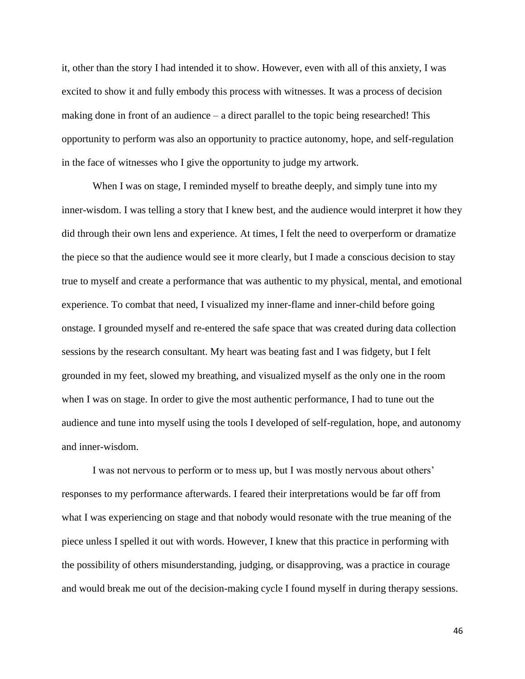it, other than the story I had intended it to show. However, even with all of this anxiety, I was excited to show it and fully embody this process with witnesses. It was a process of decision making done in front of an audience – a direct parallel to the topic being researched! This opportunity to perform was also an opportunity to practice autonomy, hope, and self-regulation in the face of witnesses who I give the opportunity to judge my artwork.

When I was on stage, I reminded myself to breathe deeply, and simply tune into my inner-wisdom. I was telling a story that I knew best, and the audience would interpret it how they did through their own lens and experience. At times, I felt the need to overperform or dramatize the piece so that the audience would see it more clearly, but I made a conscious decision to stay true to myself and create a performance that was authentic to my physical, mental, and emotional experience. To combat that need, I visualized my inner-flame and inner-child before going onstage. I grounded myself and re-entered the safe space that was created during data collection sessions by the research consultant. My heart was beating fast and I was fidgety, but I felt grounded in my feet, slowed my breathing, and visualized myself as the only one in the room when I was on stage. In order to give the most authentic performance, I had to tune out the audience and tune into myself using the tools I developed of self-regulation, hope, and autonomy and inner-wisdom.

I was not nervous to perform or to mess up, but I was mostly nervous about others' responses to my performance afterwards. I feared their interpretations would be far off from what I was experiencing on stage and that nobody would resonate with the true meaning of the piece unless I spelled it out with words. However, I knew that this practice in performing with the possibility of others misunderstanding, judging, or disapproving, was a practice in courage and would break me out of the decision-making cycle I found myself in during therapy sessions.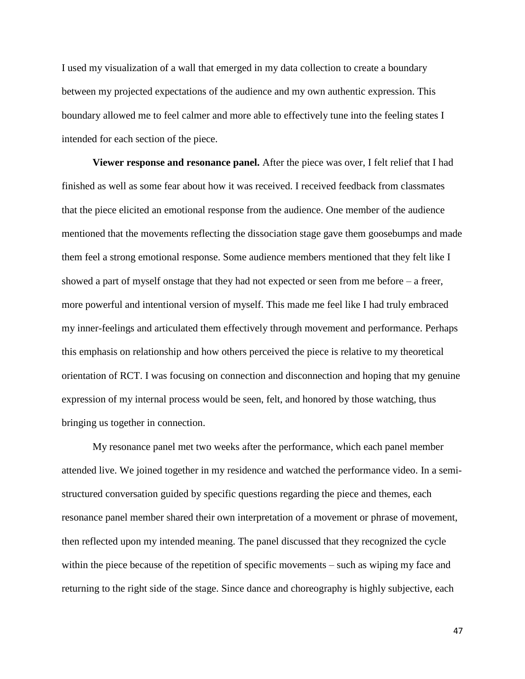I used my visualization of a wall that emerged in my data collection to create a boundary between my projected expectations of the audience and my own authentic expression. This boundary allowed me to feel calmer and more able to effectively tune into the feeling states I intended for each section of the piece.

**Viewer response and resonance panel.** After the piece was over, I felt relief that I had finished as well as some fear about how it was received. I received feedback from classmates that the piece elicited an emotional response from the audience. One member of the audience mentioned that the movements reflecting the dissociation stage gave them goosebumps and made them feel a strong emotional response. Some audience members mentioned that they felt like I showed a part of myself onstage that they had not expected or seen from me before – a freer, more powerful and intentional version of myself. This made me feel like I had truly embraced my inner-feelings and articulated them effectively through movement and performance. Perhaps this emphasis on relationship and how others perceived the piece is relative to my theoretical orientation of RCT. I was focusing on connection and disconnection and hoping that my genuine expression of my internal process would be seen, felt, and honored by those watching, thus bringing us together in connection.

My resonance panel met two weeks after the performance, which each panel member attended live. We joined together in my residence and watched the performance video. In a semistructured conversation guided by specific questions regarding the piece and themes, each resonance panel member shared their own interpretation of a movement or phrase of movement, then reflected upon my intended meaning. The panel discussed that they recognized the cycle within the piece because of the repetition of specific movements – such as wiping my face and returning to the right side of the stage. Since dance and choreography is highly subjective, each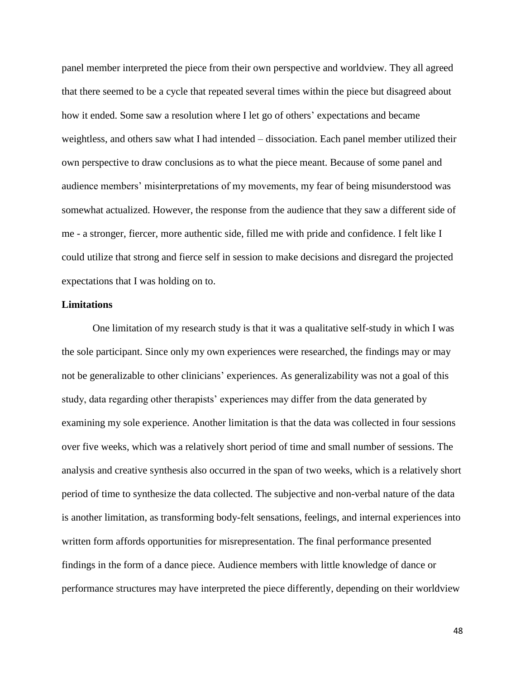panel member interpreted the piece from their own perspective and worldview. They all agreed that there seemed to be a cycle that repeated several times within the piece but disagreed about how it ended. Some saw a resolution where I let go of others' expectations and became weightless, and others saw what I had intended – dissociation. Each panel member utilized their own perspective to draw conclusions as to what the piece meant. Because of some panel and audience members' misinterpretations of my movements, my fear of being misunderstood was somewhat actualized. However, the response from the audience that they saw a different side of me - a stronger, fiercer, more authentic side, filled me with pride and confidence. I felt like I could utilize that strong and fierce self in session to make decisions and disregard the projected expectations that I was holding on to.

# **Limitations**

One limitation of my research study is that it was a qualitative self-study in which I was the sole participant. Since only my own experiences were researched, the findings may or may not be generalizable to other clinicians' experiences. As generalizability was not a goal of this study, data regarding other therapists' experiences may differ from the data generated by examining my sole experience. Another limitation is that the data was collected in four sessions over five weeks, which was a relatively short period of time and small number of sessions. The analysis and creative synthesis also occurred in the span of two weeks, which is a relatively short period of time to synthesize the data collected. The subjective and non-verbal nature of the data is another limitation, as transforming body-felt sensations, feelings, and internal experiences into written form affords opportunities for misrepresentation. The final performance presented findings in the form of a dance piece. Audience members with little knowledge of dance or performance structures may have interpreted the piece differently, depending on their worldview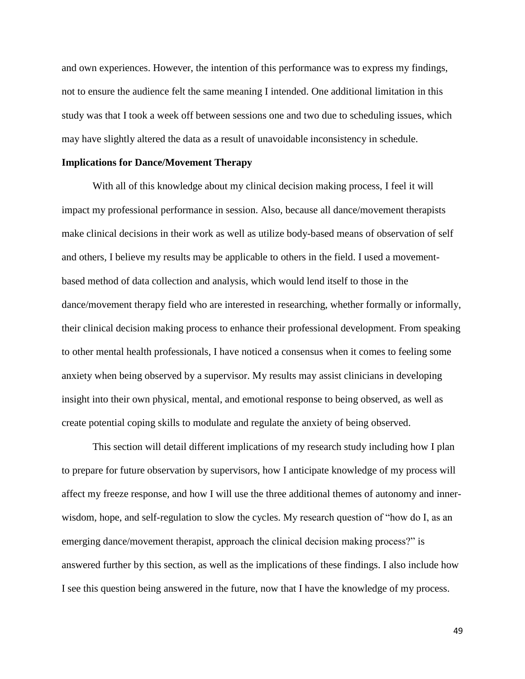and own experiences. However, the intention of this performance was to express my findings, not to ensure the audience felt the same meaning I intended. One additional limitation in this study was that I took a week off between sessions one and two due to scheduling issues, which may have slightly altered the data as a result of unavoidable inconsistency in schedule.

#### **Implications for Dance/Movement Therapy**

With all of this knowledge about my clinical decision making process, I feel it will impact my professional performance in session. Also, because all dance/movement therapists make clinical decisions in their work as well as utilize body-based means of observation of self and others, I believe my results may be applicable to others in the field. I used a movementbased method of data collection and analysis, which would lend itself to those in the dance/movement therapy field who are interested in researching, whether formally or informally, their clinical decision making process to enhance their professional development. From speaking to other mental health professionals, I have noticed a consensus when it comes to feeling some anxiety when being observed by a supervisor. My results may assist clinicians in developing insight into their own physical, mental, and emotional response to being observed, as well as create potential coping skills to modulate and regulate the anxiety of being observed.

This section will detail different implications of my research study including how I plan to prepare for future observation by supervisors, how I anticipate knowledge of my process will affect my freeze response, and how I will use the three additional themes of autonomy and innerwisdom, hope, and self-regulation to slow the cycles. My research question of "how do I, as an emerging dance/movement therapist, approach the clinical decision making process?" is answered further by this section, as well as the implications of these findings. I also include how I see this question being answered in the future, now that I have the knowledge of my process.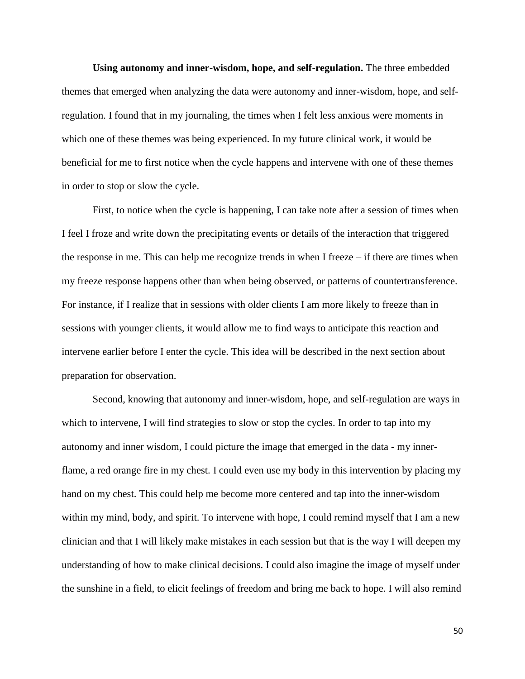**Using autonomy and inner-wisdom, hope, and self-regulation.** The three embedded themes that emerged when analyzing the data were autonomy and inner-wisdom, hope, and selfregulation. I found that in my journaling, the times when I felt less anxious were moments in which one of these themes was being experienced. In my future clinical work, it would be beneficial for me to first notice when the cycle happens and intervene with one of these themes in order to stop or slow the cycle.

First, to notice when the cycle is happening, I can take note after a session of times when I feel I froze and write down the precipitating events or details of the interaction that triggered the response in me. This can help me recognize trends in when I freeze – if there are times when my freeze response happens other than when being observed, or patterns of countertransference. For instance, if I realize that in sessions with older clients I am more likely to freeze than in sessions with younger clients, it would allow me to find ways to anticipate this reaction and intervene earlier before I enter the cycle. This idea will be described in the next section about preparation for observation.

Second, knowing that autonomy and inner-wisdom, hope, and self-regulation are ways in which to intervene, I will find strategies to slow or stop the cycles. In order to tap into my autonomy and inner wisdom, I could picture the image that emerged in the data - my innerflame, a red orange fire in my chest. I could even use my body in this intervention by placing my hand on my chest. This could help me become more centered and tap into the inner-wisdom within my mind, body, and spirit. To intervene with hope, I could remind myself that I am a new clinician and that I will likely make mistakes in each session but that is the way I will deepen my understanding of how to make clinical decisions. I could also imagine the image of myself under the sunshine in a field, to elicit feelings of freedom and bring me back to hope. I will also remind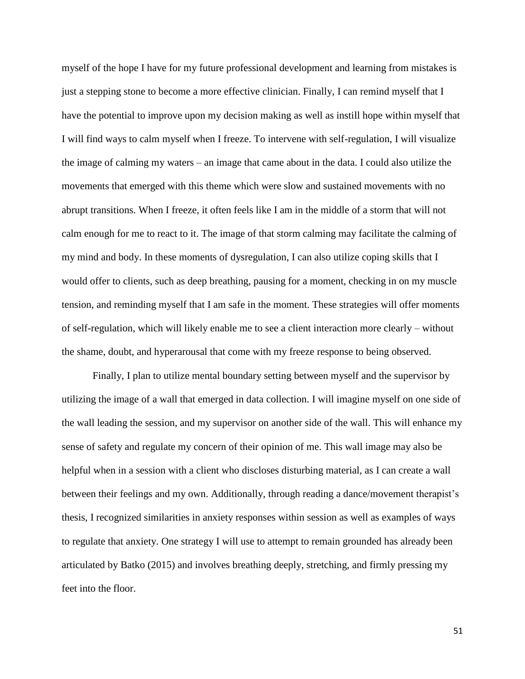myself of the hope I have for my future professional development and learning from mistakes is just a stepping stone to become a more effective clinician. Finally, I can remind myself that I have the potential to improve upon my decision making as well as instill hope within myself that I will find ways to calm myself when I freeze. To intervene with self-regulation, I will visualize the image of calming my waters – an image that came about in the data. I could also utilize the movements that emerged with this theme which were slow and sustained movements with no abrupt transitions. When I freeze, it often feels like I am in the middle of a storm that will not calm enough for me to react to it. The image of that storm calming may facilitate the calming of my mind and body. In these moments of dysregulation, I can also utilize coping skills that I would offer to clients, such as deep breathing, pausing for a moment, checking in on my muscle tension, and reminding myself that I am safe in the moment. These strategies will offer moments of self-regulation, which will likely enable me to see a client interaction more clearly – without the shame, doubt, and hyperarousal that come with my freeze response to being observed.

Finally, I plan to utilize mental boundary setting between myself and the supervisor by utilizing the image of a wall that emerged in data collection. I will imagine myself on one side of the wall leading the session, and my supervisor on another side of the wall. This will enhance my sense of safety and regulate my concern of their opinion of me. This wall image may also be helpful when in a session with a client who discloses disturbing material, as I can create a wall between their feelings and my own. Additionally, through reading a dance/movement therapist's thesis, I recognized similarities in anxiety responses within session as well as examples of ways to regulate that anxiety. One strategy I will use to attempt to remain grounded has already been articulated by Batko (2015) and involves breathing deeply, stretching, and firmly pressing my feet into the floor.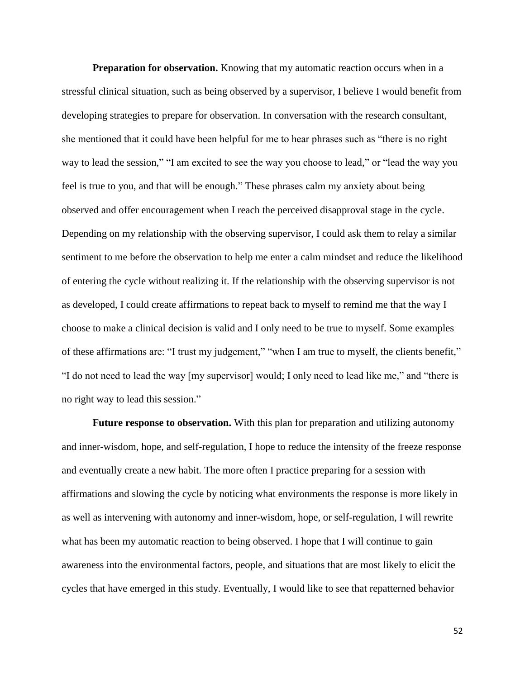**Preparation for observation.** Knowing that my automatic reaction occurs when in a stressful clinical situation, such as being observed by a supervisor, I believe I would benefit from developing strategies to prepare for observation. In conversation with the research consultant, she mentioned that it could have been helpful for me to hear phrases such as "there is no right way to lead the session," "I am excited to see the way you choose to lead," or "lead the way you feel is true to you, and that will be enough." These phrases calm my anxiety about being observed and offer encouragement when I reach the perceived disapproval stage in the cycle. Depending on my relationship with the observing supervisor, I could ask them to relay a similar sentiment to me before the observation to help me enter a calm mindset and reduce the likelihood of entering the cycle without realizing it. If the relationship with the observing supervisor is not as developed, I could create affirmations to repeat back to myself to remind me that the way I choose to make a clinical decision is valid and I only need to be true to myself. Some examples of these affirmations are: "I trust my judgement," "when I am true to myself, the clients benefit," "I do not need to lead the way [my supervisor] would; I only need to lead like me," and "there is no right way to lead this session."

**Future response to observation.** With this plan for preparation and utilizing autonomy and inner-wisdom, hope, and self-regulation, I hope to reduce the intensity of the freeze response and eventually create a new habit. The more often I practice preparing for a session with affirmations and slowing the cycle by noticing what environments the response is more likely in as well as intervening with autonomy and inner-wisdom, hope, or self-regulation, I will rewrite what has been my automatic reaction to being observed. I hope that I will continue to gain awareness into the environmental factors, people, and situations that are most likely to elicit the cycles that have emerged in this study. Eventually, I would like to see that repatterned behavior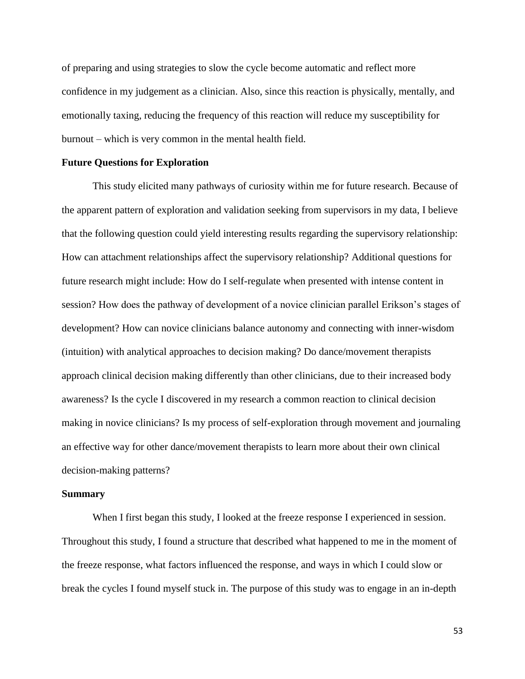of preparing and using strategies to slow the cycle become automatic and reflect more confidence in my judgement as a clinician. Also, since this reaction is physically, mentally, and emotionally taxing, reducing the frequency of this reaction will reduce my susceptibility for burnout – which is very common in the mental health field.

# **Future Questions for Exploration**

This study elicited many pathways of curiosity within me for future research. Because of the apparent pattern of exploration and validation seeking from supervisors in my data, I believe that the following question could yield interesting results regarding the supervisory relationship: How can attachment relationships affect the supervisory relationship? Additional questions for future research might include: How do I self-regulate when presented with intense content in session? How does the pathway of development of a novice clinician parallel Erikson's stages of development? How can novice clinicians balance autonomy and connecting with inner-wisdom (intuition) with analytical approaches to decision making? Do dance/movement therapists approach clinical decision making differently than other clinicians, due to their increased body awareness? Is the cycle I discovered in my research a common reaction to clinical decision making in novice clinicians? Is my process of self-exploration through movement and journaling an effective way for other dance/movement therapists to learn more about their own clinical decision-making patterns?

#### **Summary**

When I first began this study, I looked at the freeze response I experienced in session. Throughout this study, I found a structure that described what happened to me in the moment of the freeze response, what factors influenced the response, and ways in which I could slow or break the cycles I found myself stuck in. The purpose of this study was to engage in an in-depth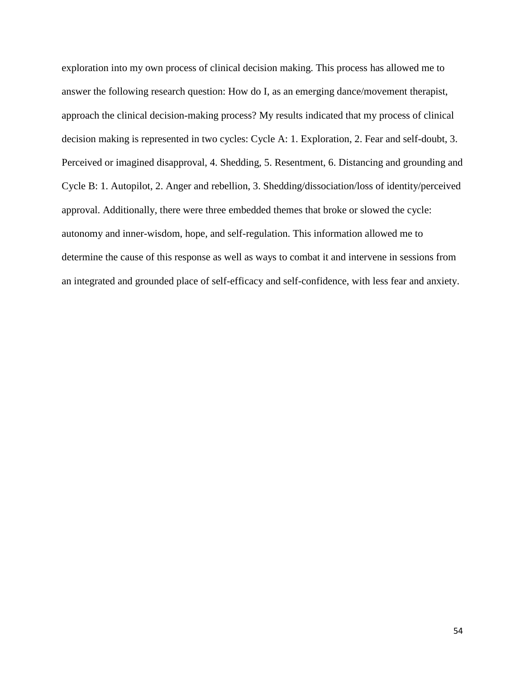exploration into my own process of clinical decision making. This process has allowed me to answer the following research question: How do I, as an emerging dance/movement therapist, approach the clinical decision-making process? My results indicated that my process of clinical decision making is represented in two cycles: Cycle A: 1. Exploration, 2. Fear and self-doubt, 3. Perceived or imagined disapproval, 4. Shedding, 5. Resentment, 6. Distancing and grounding and Cycle B: 1. Autopilot, 2. Anger and rebellion, 3. Shedding/dissociation/loss of identity/perceived approval. Additionally, there were three embedded themes that broke or slowed the cycle: autonomy and inner-wisdom, hope, and self-regulation. This information allowed me to determine the cause of this response as well as ways to combat it and intervene in sessions from an integrated and grounded place of self-efficacy and self-confidence, with less fear and anxiety.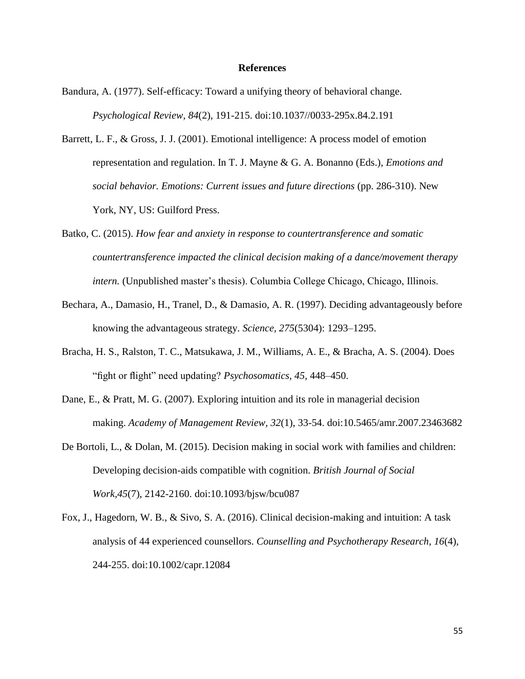#### **References**

- Bandura, A. (1977). Self-efficacy: Toward a unifying theory of behavioral change. *Psychological Review, 84*(2), 191-215. doi:10.1037//0033-295x.84.2.191
- Barrett, L. F., & Gross, J. J. (2001). Emotional intelligence: A process model of emotion representation and regulation. In T. J. Mayne & G. A. Bonanno (Eds.), *Emotions and social behavior. Emotions: Current issues and future directions* (pp. 286-310). New York, NY, US: Guilford Press.
- Batko, C. (2015). *How fear and anxiety in response to countertransference and somatic countertransference impacted the clinical decision making of a dance/movement therapy intern.* (Unpublished master's thesis). Columbia College Chicago, Chicago, Illinois.
- Bechara, A., Damasio, H., Tranel, D., & Damasio, A. R. (1997). Deciding advantageously before knowing the advantageous strategy. *Science, 275*(5304): 1293–1295.
- Bracha, H. S., Ralston, T. C., Matsukawa, J. M., Williams, A. E., & Bracha, A. S. (2004). Does "fight or flight" need updating? *Psychosomatics, 45*, 448–450.
- Dane, E., & Pratt, M. G. (2007). Exploring intuition and its role in managerial decision making. *Academy of Management Review, 32*(1), 33-54. doi:10.5465/amr.2007.23463682
- De Bortoli, L., & Dolan, M. (2015). Decision making in social work with families and children: Developing decision-aids compatible with cognition. *British Journal of Social Work,45*(7), 2142-2160. doi:10.1093/bjsw/bcu087
- Fox, J., Hagedorn, W. B., & Sivo, S. A. (2016). Clinical decision-making and intuition: A task analysis of 44 experienced counsellors. *Counselling and Psychotherapy Research, 16*(4), 244-255. doi:10.1002/capr.12084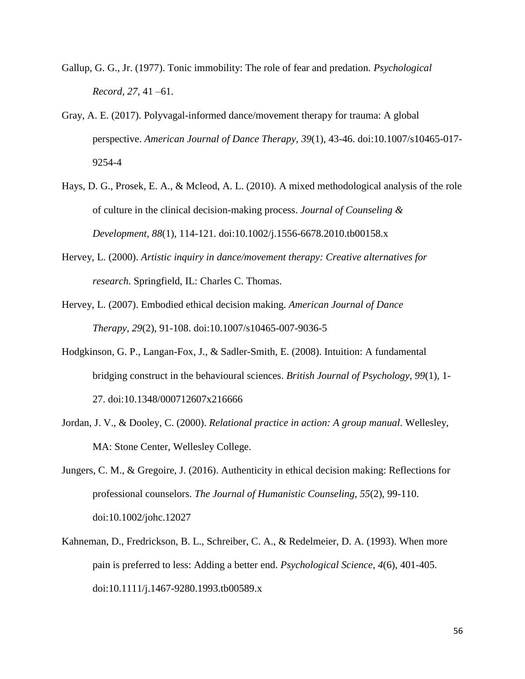- Gallup, G. G., Jr. (1977). Tonic immobility: The role of fear and predation. *Psychological Record, 27*, 41 –61.
- Gray, A. E. (2017). Polyvagal-informed dance/movement therapy for trauma: A global perspective. *American Journal of Dance Therapy, 39*(1), 43-46. doi:10.1007/s10465-017- 9254-4
- Hays, D. G., Prosek, E. A., & Mcleod, A. L. (2010). A mixed methodological analysis of the role of culture in the clinical decision-making process. *Journal of Counseling & Development, 88*(1), 114-121. doi:10.1002/j.1556-6678.2010.tb00158.x
- Hervey, L. (2000). *Artistic inquiry in dance/movement therapy: Creative alternatives for research*. Springfield, IL: Charles C. Thomas.
- Hervey, L. (2007). Embodied ethical decision making. *American Journal of Dance Therapy, 29*(2), 91-108. doi:10.1007/s10465-007-9036-5
- Hodgkinson, G. P., Langan-Fox, J., & Sadler-Smith, E. (2008). Intuition: A fundamental bridging construct in the behavioural sciences. *British Journal of Psychology, 99*(1), 1- 27. doi:10.1348/000712607x216666
- Jordan, J. V., & Dooley, C. (2000). *Relational practice in action: A group manual*. Wellesley, MA: Stone Center, Wellesley College.
- Jungers, C. M., & Gregoire, J. (2016). Authenticity in ethical decision making: Reflections for professional counselors. *The Journal of Humanistic Counseling, 55*(2), 99-110. doi:10.1002/johc.12027
- Kahneman, D., Fredrickson, B. L., Schreiber, C. A., & Redelmeier, D. A. (1993). When more pain is preferred to less: Adding a better end. *Psychological Science, 4*(6), 401-405. doi:10.1111/j.1467-9280.1993.tb00589.x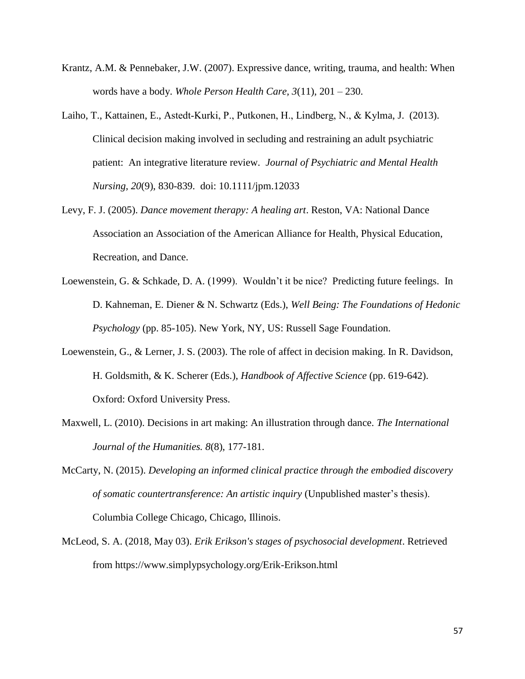- Krantz, A.M. & Pennebaker, J.W. (2007). Expressive dance, writing, trauma, and health: When words have a body. *Whole Person Health Care, 3*(11), 201 – 230.
- Laiho, T., Kattainen, E., Astedt‐Kurki, P., Putkonen, H., Lindberg, N., & Kylma, J. (2013). Clinical decision making involved in secluding and restraining an adult psychiatric patient: An integrative literature review. *Journal of Psychiatric and Mental Health Nursing, 20*(9), 830-839. doi: 10.1111/jpm.12033
- Levy, F. J. (2005). *Dance movement therapy: A healing art*. Reston, VA: National Dance Association an Association of the American Alliance for Health, Physical Education, Recreation, and Dance.
- Loewenstein, G. & Schkade, D. A. (1999). Wouldn't it be nice? Predicting future feelings. In D. Kahneman, E. Diener & N. Schwartz (Eds.), *Well Being: The Foundations of Hedonic Psychology* (pp. 85-105). New York, NY, US: Russell Sage Foundation.
- Loewenstein, G., & Lerner, J. S. (2003). [The role of affect in decision making.](https://projects.iq.harvard.edu/lernerlab/publications/role-affect-decision-making) In R. Davidson, H. Goldsmith, & K. Scherer (Eds.), *Handbook of Affective Science* (pp. 619-642). Oxford: Oxford University Press.
- Maxwell, L. (2010). Decisions in art making: An illustration through dance. *The International Journal of the Humanities. 8*(8), 177-181.
- McCarty, N. (2015). *Developing an informed clinical practice through the embodied discovery of somatic countertransference: An artistic inquiry* (Unpublished master's thesis). Columbia College Chicago, Chicago, Illinois.
- McLeod, S. A. (2018, May 03). *Erik Erikson's stages of psychosocial development*. Retrieved from https://www.simplypsychology.org/Erik-Erikson.html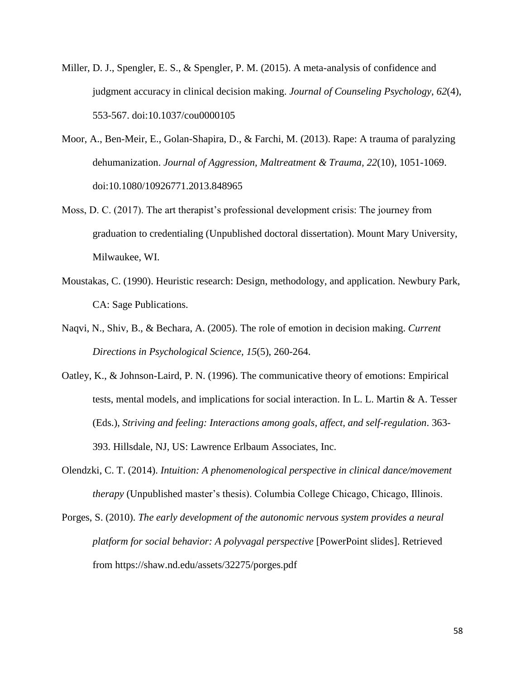- Miller, D. J., Spengler, E. S., & Spengler, P. M. (2015). A meta-analysis of confidence and judgment accuracy in clinical decision making. *Journal of Counseling Psychology, 62*(4), 553-567. doi:10.1037/cou0000105
- Moor, A., Ben-Meir, E., Golan-Shapira, D., & Farchi, M. (2013). Rape: A trauma of paralyzing dehumanization. *Journal of Aggression, Maltreatment & Trauma, 22*(10), 1051-1069. doi:10.1080/10926771.2013.848965
- Moss, D. C. (2017). The art therapist's professional development crisis: The journey from graduation to credentialing (Unpublished doctoral dissertation). Mount Mary University, Milwaukee, WI.
- Moustakas, C. (1990). Heuristic research: Design, methodology, and application. Newbury Park, CA: Sage Publications.
- Naqvi, N., Shiv, B., & Bechara, A. (2005). The role of emotion in decision making. *Current Directions in Psychological Science, 15*(5), 260-264.
- Oatley, K., & Johnson-Laird, P. N. (1996). The communicative theory of emotions: Empirical tests, mental models, and implications for social interaction. In L. L. Martin & A. Tesser (Eds.), *Striving and feeling: Interactions among goals, affect, and self-regulation*. 363- 393. Hillsdale, NJ, US: Lawrence Erlbaum Associates, Inc.
- Olendzki, C. T. (2014). *Intuition: A phenomenological perspective in clinical dance/movement therapy* (Unpublished master's thesis). Columbia College Chicago, Chicago, Illinois.
- Porges, S. (2010). *The early development of the autonomic nervous system provides a neural platform for social behavior: A polyvagal perspective* [PowerPoint slides]. Retrieved from https://shaw.nd.edu/assets/32275/porges.pdf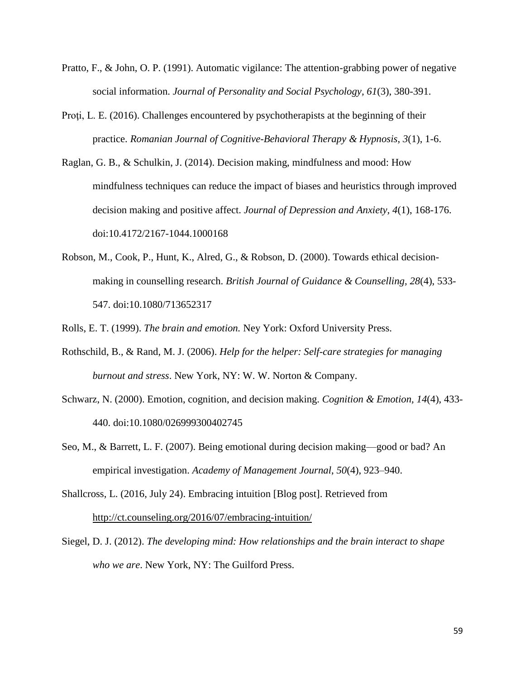- Pratto, F., & John, O. P. (1991). Automatic vigilance: The attention-grabbing power of negative social information. *Journal of Personality and Social Psychology, 61*(3), 380-391.
- Proti, L. E. (2016). Challenges encountered by psychotherapists at the beginning of their practice. *Romanian Journal of Cognitive-Behavioral Therapy & Hypnosis*, *3*(1), 1-6.
- Raglan, G. B., & Schulkin, J. (2014). Decision making, mindfulness and mood: How mindfulness techniques can reduce the impact of biases and heuristics through improved decision making and positive affect. *Journal of Depression and Anxiety, 4*(1), 168-176. doi:10.4172/2167-1044.1000168
- Robson, M., Cook, P., Hunt, K., Alred, G., & Robson, D. (2000). Towards ethical decisionmaking in counselling research. *British Journal of Guidance & Counselling, 28*(4), 533- 547. doi:10.1080/713652317

Rolls, E. T. (1999). *The brain and emotion.* Ney York: Oxford University Press.

- Rothschild, B., & Rand, M. J. (2006). *Help for the helper: Self-care strategies for managing burnout and stress*. New York, NY: W. W. Norton & Company.
- Schwarz, N. (2000). Emotion, cognition, and decision making. *Cognition & Emotion, 14*(4), 433- 440. doi:10.1080/026999300402745
- Seo, M., & Barrett, L. F. (2007). Being emotional during decision making—good or bad? An empirical investigation. *Academy of Management Journal*, *50*(4), 923–940.
- Shallcross, L. (2016, July 24). Embracing intuition [Blog post]. Retrieved from <http://ct.counseling.org/2016/07/embracing-intuition/>
- Siegel, D. J. (2012). *The developing mind: How relationships and the brain interact to shape who we are*. New York, NY: The Guilford Press.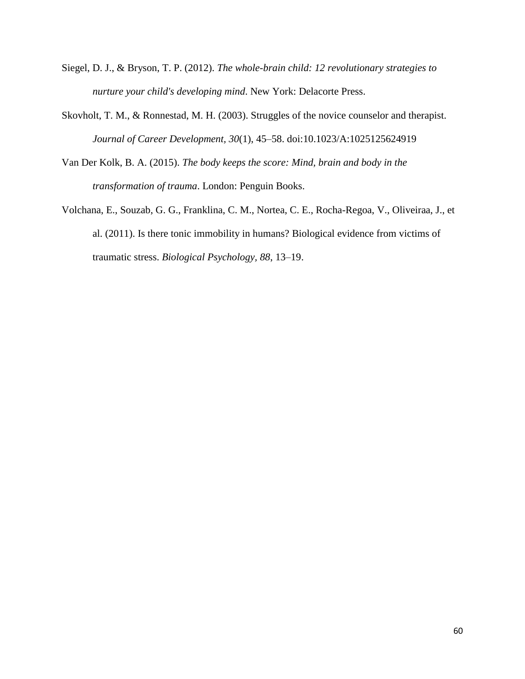- Siegel, D. J., & Bryson, T. P. (2012). *The whole-brain child: 12 revolutionary strategies to nurture your child's developing mind*. New York: Delacorte Press.
- Skovholt, T. M., & Ronnestad, M. H. (2003). Struggles of the novice counselor and therapist. *Journal of Career Development, 30*(1), 45–58. doi:10.1023/A:1025125624919
- Van Der Kolk, B. A. (2015). *The body keeps the score: Mind, brain and body in the transformation of trauma*. London: Penguin Books.
- Volchana, E., Souzab, G. G., Franklina, C. M., Nortea, C. E., Rocha-Regoa, V., Oliveiraa, J., et al. (2011). Is there tonic immobility in humans? Biological evidence from victims of traumatic stress. *Biological Psychology, 88*, 13–19.